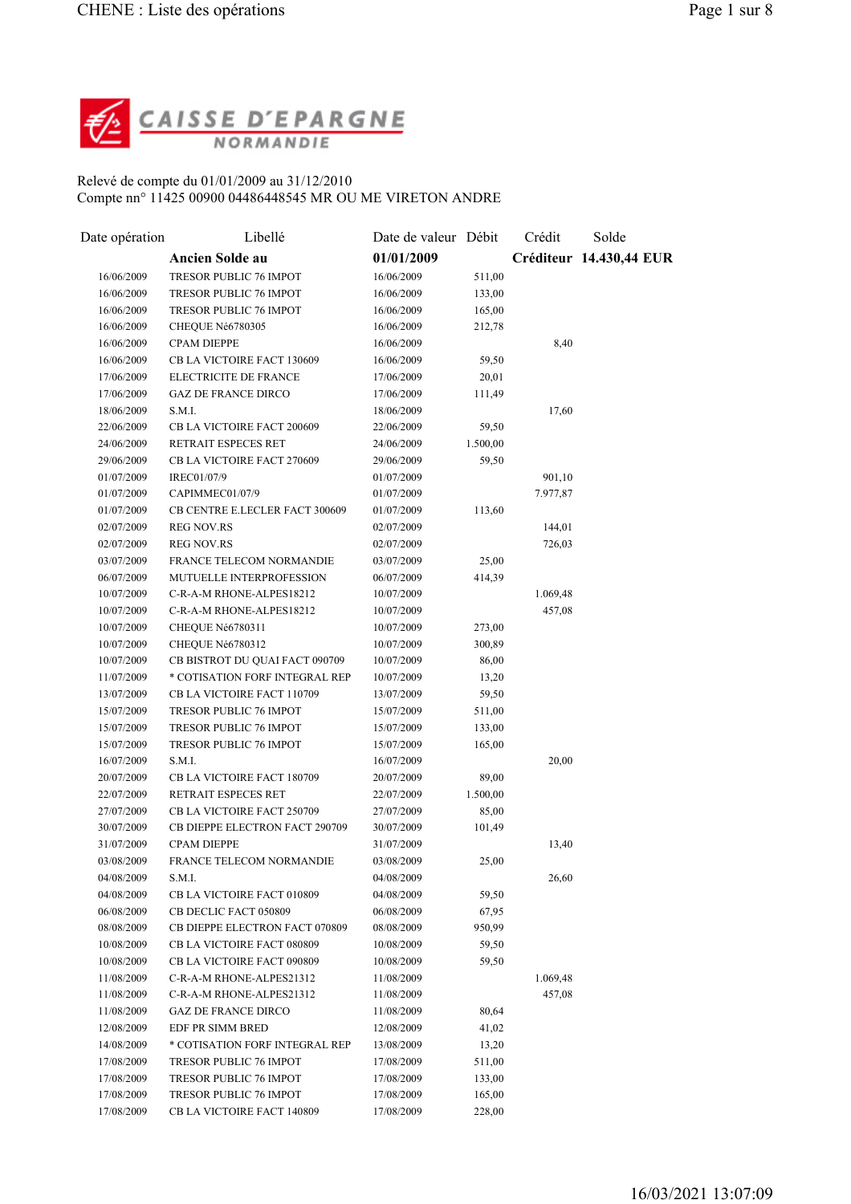

## Relevé de compte du 01/01/2009 au 31/12/2010 Compte nn° 11425 00900 04486448545 MR OU ME VIRETON ANDRE

| Date opération | Libellé                               | Date de valeur Débit |          | Crédit   | Solde                   |
|----------------|---------------------------------------|----------------------|----------|----------|-------------------------|
|                | <b>Ancien Solde au</b>                | 01/01/2009           |          |          | Créditeur 14.430,44 EUR |
| 16/06/2009     | TRESOR PUBLIC 76 IMPOT                | 16/06/2009           | 511,00   |          |                         |
| 16/06/2009     | TRESOR PUBLIC 76 IMPOT                | 16/06/2009           | 133,00   |          |                         |
| 16/06/2009     | TRESOR PUBLIC 76 IMPOT                | 16/06/2009           | 165,00   |          |                         |
| 16/06/2009     | CHEQUE Né6780305                      | 16/06/2009           | 212,78   |          |                         |
| 16/06/2009     | <b>CPAM DIEPPE</b>                    | 16/06/2009           |          | 8,40     |                         |
| 16/06/2009     | CB LA VICTOIRE FACT 130609            | 16/06/2009           | 59,50    |          |                         |
| 17/06/2009     | ELECTRICITE DE FRANCE                 | 17/06/2009           | 20,01    |          |                         |
| 17/06/2009     | <b>GAZ DE FRANCE DIRCO</b>            | 17/06/2009           | 111,49   |          |                         |
| 18/06/2009     | S.M.I.                                | 18/06/2009           |          | 17,60    |                         |
| 22/06/2009     | CB LA VICTOIRE FACT 200609            | 22/06/2009           | 59,50    |          |                         |
| 24/06/2009     | RETRAIT ESPECES RET                   | 24/06/2009           | 1.500,00 |          |                         |
| 29/06/2009     | CB LA VICTOIRE FACT 270609            | 29/06/2009           | 59,50    |          |                         |
| 01/07/2009     | IREC01/07/9                           | 01/07/2009           |          | 901,10   |                         |
| 01/07/2009     | CAPIMMEC01/07/9                       | 01/07/2009           |          | 7.977,87 |                         |
| 01/07/2009     | <b>CB CENTRE E.LECLER FACT 300609</b> | 01/07/2009           | 113,60   |          |                         |
| 02/07/2009     | <b>REG NOV.RS</b>                     | 02/07/2009           |          | 144,01   |                         |
| 02/07/2009     | <b>REG NOV.RS</b>                     | 02/07/2009           |          | 726,03   |                         |
| 03/07/2009     | FRANCE TELECOM NORMANDIE              | 03/07/2009           | 25,00    |          |                         |
| 06/07/2009     | MUTUELLE INTERPROFESSION              | 06/07/2009           | 414,39   |          |                         |
| 10/07/2009     | C-R-A-M RHONE-ALPES18212              | 10/07/2009           |          | 1.069,48 |                         |
| 10/07/2009     | C-R-A-M RHONE-ALPES18212              | 10/07/2009           |          | 457,08   |                         |
| 10/07/2009     | CHEQUE Né6780311                      | 10/07/2009           | 273,00   |          |                         |
| 10/07/2009     | CHEQUE Né6780312                      | 10/07/2009           | 300,89   |          |                         |
| 10/07/2009     | CB BISTROT DU QUAI FACT 090709        | 10/07/2009           | 86,00    |          |                         |
| 11/07/2009     | * COTISATION FORF INTEGRAL REP        | 10/07/2009           | 13,20    |          |                         |
| 13/07/2009     | CB LA VICTOIRE FACT 110709            | 13/07/2009           | 59,50    |          |                         |
| 15/07/2009     | TRESOR PUBLIC 76 IMPOT                | 15/07/2009           | 511,00   |          |                         |
| 15/07/2009     | TRESOR PUBLIC 76 IMPOT                | 15/07/2009           | 133,00   |          |                         |
| 15/07/2009     | <b>TRESOR PUBLIC 76 IMPOT</b>         | 15/07/2009           | 165,00   |          |                         |
| 16/07/2009     | S.M.I.                                | 16/07/2009           |          | 20,00    |                         |
| 20/07/2009     | CB LA VICTOIRE FACT 180709            | 20/07/2009           | 89,00    |          |                         |
| 22/07/2009     | RETRAIT ESPECES RET                   | 22/07/2009           | 1.500,00 |          |                         |
| 27/07/2009     | CB LA VICTOIRE FACT 250709            | 27/07/2009           | 85,00    |          |                         |
| 30/07/2009     | <b>CB DIEPPE ELECTRON FACT 290709</b> | 30/07/2009           | 101,49   |          |                         |
| 31/07/2009     | <b>CPAM DIEPPE</b>                    | 31/07/2009           |          | 13,40    |                         |
| 03/08/2009     | <b>FRANCE TELECOM NORMANDIE</b>       | 03/08/2009           | 25,00    |          |                         |
| 04/08/2009     | S.M.I.                                | 04/08/2009           |          | 26,60    |                         |
| 04/08/2009     | CB LA VICTOIRE FACT 010809            | 04/08/2009           | 59,50    |          |                         |
| 06/08/2009     | CB DECLIC FACT 050809                 | 06/08/2009           | 67,95    |          |                         |
| 08/08/2009     | CB DIEPPE ELECTRON FACT 070809        | 08/08/2009           | 950,99   |          |                         |
| 10/08/2009     | CB LA VICTOIRE FACT 080809            | 10/08/2009           | 59,50    |          |                         |
| 10/08/2009     | CB LA VICTOIRE FACT 090809            | 10/08/2009           | 59,50    |          |                         |
| 11/08/2009     | C-R-A-M RHONE-ALPES21312              | 11/08/2009           |          | 1.069,48 |                         |
| 11/08/2009     | C-R-A-M RHONE-ALPES21312              | 11/08/2009           |          | 457,08   |                         |
| 11/08/2009     | <b>GAZ DE FRANCE DIRCO</b>            | 11/08/2009           | 80,64    |          |                         |
| 12/08/2009     | EDF PR SIMM BRED                      | 12/08/2009           | 41,02    |          |                         |
| 14/08/2009     | * COTISATION FORF INTEGRAL REP        | 13/08/2009           | 13,20    |          |                         |
| 17/08/2009     | <b>TRESOR PUBLIC 76 IMPOT</b>         | 17/08/2009           | 511,00   |          |                         |
| 17/08/2009     | <b>TRESOR PUBLIC 76 IMPOT</b>         | 17/08/2009           | 133,00   |          |                         |
| 17/08/2009     | TRESOR PUBLIC 76 IMPOT                | 17/08/2009           | 165,00   |          |                         |
| 17/08/2009     | CB LA VICTOIRE FACT 140809            | 17/08/2009           | 228,00   |          |                         |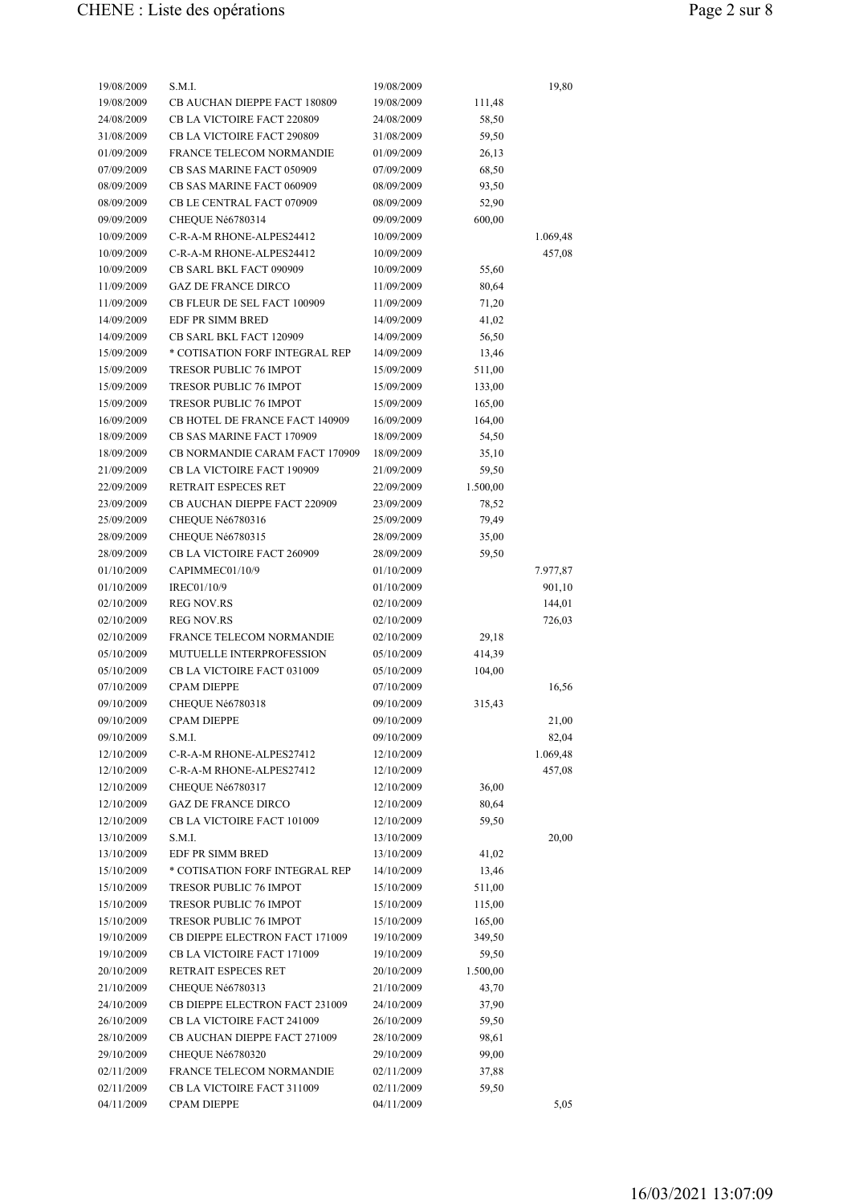| 19/08/2009 | S.M.I.                            | 19/08/2009 |          | 19,80    |
|------------|-----------------------------------|------------|----------|----------|
| 19/08/2009 | CB AUCHAN DIEPPE FACT 180809      | 19/08/2009 | 111,48   |          |
| 24/08/2009 | <b>CB LA VICTOIRE FACT 220809</b> | 24/08/2009 | 58,50    |          |
| 31/08/2009 | CB LA VICTOIRE FACT 290809        | 31/08/2009 | 59,50    |          |
| 01/09/2009 | FRANCE TELECOM NORMANDIE          | 01/09/2009 | 26,13    |          |
| 07/09/2009 | CB SAS MARINE FACT 050909         | 07/09/2009 | 68,50    |          |
| 08/09/2009 | CB SAS MARINE FACT 060909         | 08/09/2009 | 93,50    |          |
| 08/09/2009 | CB LE CENTRAL FACT 070909         | 08/09/2009 | 52,90    |          |
| 09/09/2009 | CHEQUE Né6780314                  | 09/09/2009 |          |          |
| 10/09/2009 | C-R-A-M RHONE-ALPES24412          | 10/09/2009 | 600,00   |          |
|            | C-R-A-M RHONE-ALPES24412          |            |          | 1.069,48 |
| 10/09/2009 |                                   | 10/09/2009 |          | 457,08   |
| 10/09/2009 | CB SARL BKL FACT 090909           | 10/09/2009 | 55,60    |          |
| 11/09/2009 | <b>GAZ DE FRANCE DIRCO</b>        | 11/09/2009 | 80,64    |          |
| 11/09/2009 | CB FLEUR DE SEL FACT 100909       | 11/09/2009 | 71,20    |          |
| 14/09/2009 | EDF PR SIMM BRED                  | 14/09/2009 | 41,02    |          |
| 14/09/2009 | <b>CB SARL BKL FACT 120909</b>    | 14/09/2009 | 56,50    |          |
| 15/09/2009 | * COTISATION FORF INTEGRAL REP    | 14/09/2009 | 13,46    |          |
| 15/09/2009 | <b>TRESOR PUBLIC 76 IMPOT</b>     | 15/09/2009 | 511,00   |          |
| 15/09/2009 | <b>TRESOR PUBLIC 76 IMPOT</b>     | 15/09/2009 | 133,00   |          |
| 15/09/2009 | <b>TRESOR PUBLIC 76 IMPOT</b>     | 15/09/2009 | 165,00   |          |
| 16/09/2009 | CB HOTEL DE FRANCE FACT 140909    | 16/09/2009 | 164,00   |          |
| 18/09/2009 | <b>CB SAS MARINE FACT 170909</b>  | 18/09/2009 | 54,50    |          |
| 18/09/2009 | CB NORMANDIE CARAM FACT 170909    | 18/09/2009 | 35,10    |          |
| 21/09/2009 | CB LA VICTOIRE FACT 190909        | 21/09/2009 | 59,50    |          |
| 22/09/2009 | <b>RETRAIT ESPECES RET</b>        | 22/09/2009 | 1.500,00 |          |
| 23/09/2009 | CB AUCHAN DIEPPE FACT 220909      | 23/09/2009 | 78,52    |          |
| 25/09/2009 | CHEQUE Né6780316                  | 25/09/2009 | 79,49    |          |
| 28/09/2009 | CHEQUE Né6780315                  | 28/09/2009 | 35,00    |          |
| 28/09/2009 | CB LA VICTOIRE FACT 260909        | 28/09/2009 | 59,50    |          |
| 01/10/2009 | CAPIMMEC01/10/9                   | 01/10/2009 |          | 7.977,87 |
| 01/10/2009 | IREC01/10/9                       | 01/10/2009 |          | 901,10   |
| 02/10/2009 | <b>REG NOV.RS</b>                 | 02/10/2009 |          | 144,01   |
| 02/10/2009 | <b>REG NOV.RS</b>                 | 02/10/2009 |          | 726,03   |
| 02/10/2009 | <b>FRANCE TELECOM NORMANDIE</b>   | 02/10/2009 | 29,18    |          |
| 05/10/2009 | MUTUELLE INTERPROFESSION          | 05/10/2009 | 414,39   |          |
| 05/10/2009 | CB LA VICTOIRE FACT 031009        | 05/10/2009 | 104,00   |          |
| 07/10/2009 | <b>CPAM DIEPPE</b>                | 07/10/2009 |          | 16,56    |
| 09/10/2009 | CHEQUE Né6780318                  | 09/10/2009 | 315,43   |          |
| 09/10/2009 | <b>CPAM DIEPPE</b>                | 09/10/2009 |          | 21,00    |
| 09/10/2009 | S.M.I.                            | 09/10/2009 |          | 82,04    |
| 12/10/2009 | C-R-A-M RHONE-ALPES27412          | 12/10/2009 |          | 1.069,48 |
| 12/10/2009 | C-R-A-M RHONE-ALPES27412          | 12/10/2009 |          | 457,08   |
| 12/10/2009 | CHEQUE Né6780317                  | 12/10/2009 | 36,00    |          |
| 12/10/2009 | <b>GAZ DE FRANCE DIRCO</b>        | 12/10/2009 | 80,64    |          |
| 12/10/2009 | CB LA VICTOIRE FACT 101009        | 12/10/2009 | 59,50    |          |
| 13/10/2009 | S.M.I.                            | 13/10/2009 |          | 20,00    |
| 13/10/2009 | EDF PR SIMM BRED                  | 13/10/2009 | 41,02    |          |
| 15/10/2009 | * COTISATION FORF INTEGRAL REP    | 14/10/2009 | 13,46    |          |
| 15/10/2009 | TRESOR PUBLIC 76 IMPOT            | 15/10/2009 | 511,00   |          |
| 15/10/2009 | TRESOR PUBLIC 76 IMPOT            | 15/10/2009 | 115,00   |          |
| 15/10/2009 | TRESOR PUBLIC 76 IMPOT            | 15/10/2009 | 165,00   |          |
| 19/10/2009 | CB DIEPPE ELECTRON FACT 171009    | 19/10/2009 | 349,50   |          |
|            |                                   |            |          |          |
| 19/10/2009 | CB LA VICTOIRE FACT 171009        | 19/10/2009 | 59,50    |          |
| 20/10/2009 | RETRAIT ESPECES RET               | 20/10/2009 | 1.500,00 |          |
| 21/10/2009 | CHEQUE Né6780313                  | 21/10/2009 | 43,70    |          |
| 24/10/2009 | CB DIEPPE ELECTRON FACT 231009    | 24/10/2009 | 37,90    |          |
| 26/10/2009 | CB LA VICTOIRE FACT 241009        | 26/10/2009 | 59,50    |          |
| 28/10/2009 | CB AUCHAN DIEPPE FACT 271009      | 28/10/2009 | 98,61    |          |
| 29/10/2009 | CHEQUE Né6780320                  | 29/10/2009 | 99,00    |          |
| 02/11/2009 | FRANCE TELECOM NORMANDIE          | 02/11/2009 | 37,88    |          |
| 02/11/2009 | CB LA VICTOIRE FACT 311009        | 02/11/2009 | 59,50    |          |
| 04/11/2009 | <b>CPAM DIEPPE</b>                | 04/11/2009 |          | 5,05     |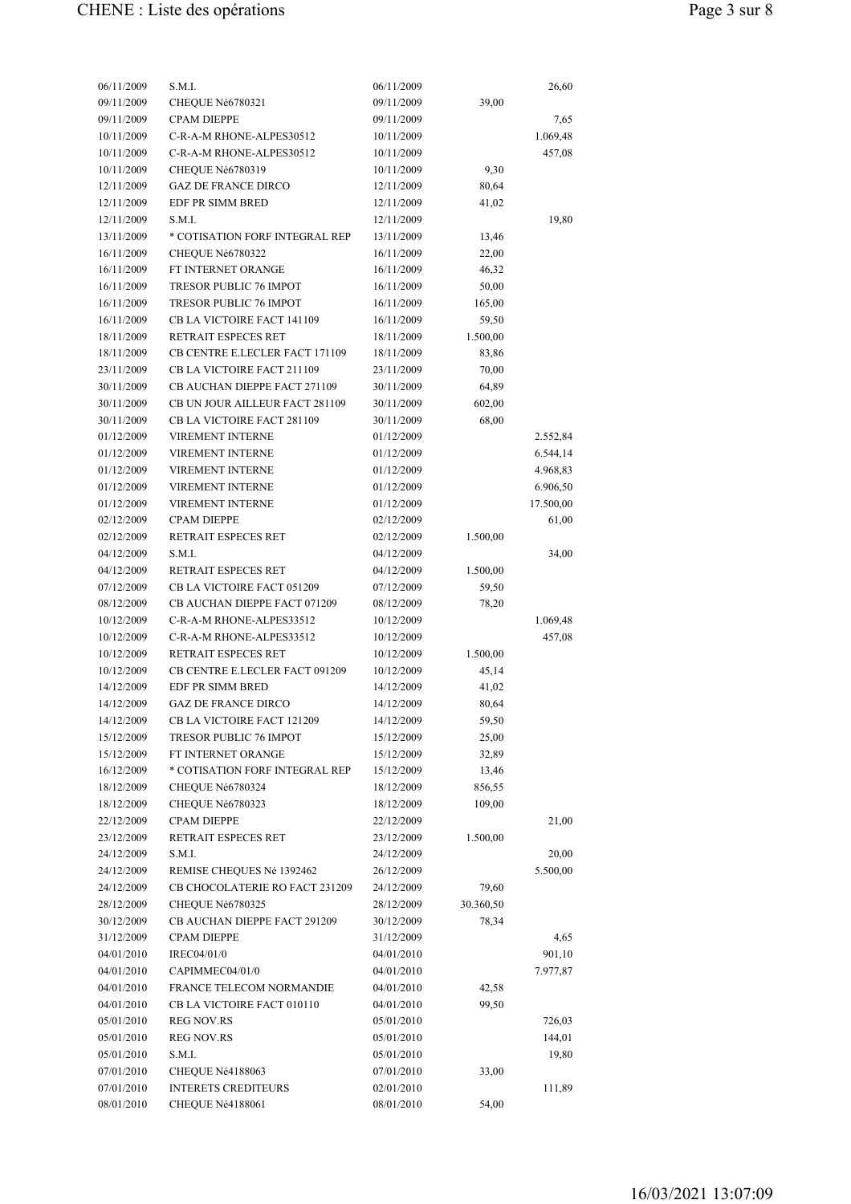| 06/11/2009 | S.M.I.                         | 06/11/2009 |           | 26,60     |
|------------|--------------------------------|------------|-----------|-----------|
| 09/11/2009 | CHEQUE Né6780321               | 09/11/2009 | 39,00     |           |
| 09/11/2009 | <b>CPAM DIEPPE</b>             | 09/11/2009 |           | 7,65      |
| 10/11/2009 | C-R-A-M RHONE-ALPES30512       | 10/11/2009 |           | 1.069,48  |
| 10/11/2009 | C-R-A-M RHONE-ALPES30512       | 10/11/2009 |           | 457,08    |
| 10/11/2009 | CHEQUE Né6780319               | 10/11/2009 | 9,30      |           |
| 12/11/2009 | <b>GAZ DE FRANCE DIRCO</b>     | 12/11/2009 | 80,64     |           |
| 12/11/2009 | EDF PR SIMM BRED               | 12/11/2009 | 41,02     |           |
| 12/11/2009 | S.M.I.                         | 12/11/2009 |           | 19,80     |
| 13/11/2009 | * COTISATION FORF INTEGRAL REP | 13/11/2009 | 13,46     |           |
| 16/11/2009 | CHEQUE Né6780322               | 16/11/2009 | 22,00     |           |
| 16/11/2009 | FT INTERNET ORANGE             | 16/11/2009 | 46,32     |           |
| 16/11/2009 | <b>TRESOR PUBLIC 76 IMPOT</b>  | 16/11/2009 | 50,00     |           |
| 16/11/2009 | <b>TRESOR PUBLIC 76 IMPOT</b>  | 16/11/2009 | 165,00    |           |
| 16/11/2009 | CB LA VICTOIRE FACT 141109     | 16/11/2009 | 59,50     |           |
| 18/11/2009 | RETRAIT ESPECES RET            | 18/11/2009 | 1.500,00  |           |
| 18/11/2009 | CB CENTRE E.LECLER FACT 171109 | 18/11/2009 | 83,86     |           |
| 23/11/2009 | CB LA VICTOIRE FACT 211109     | 23/11/2009 | 70,00     |           |
| 30/11/2009 | CB AUCHAN DIEPPE FACT 271109   | 30/11/2009 | 64,89     |           |
| 30/11/2009 | CB UN JOUR AILLEUR FACT 281109 | 30/11/2009 | 602,00    |           |
| 30/11/2009 | CB LA VICTOIRE FACT 281109     | 30/11/2009 | 68,00     |           |
| 01/12/2009 | VIREMENT INTERNE               | 01/12/2009 |           | 2.552,84  |
| 01/12/2009 | VIREMENT INTERNE               | 01/12/2009 |           | 6.544,14  |
| 01/12/2009 | VIREMENT INTERNE               | 01/12/2009 |           | 4.968,83  |
| 01/12/2009 | <b>VIREMENT INTERNE</b>        | 01/12/2009 |           | 6.906,50  |
|            |                                |            |           |           |
| 01/12/2009 | VIREMENT INTERNE               | 01/12/2009 |           | 17.500,00 |
| 02/12/2009 | <b>CPAM DIEPPE</b>             | 02/12/2009 |           | 61,00     |
| 02/12/2009 | RETRAIT ESPECES RET            | 02/12/2009 | 1.500,00  |           |
| 04/12/2009 | S.M.I.                         | 04/12/2009 |           | 34,00     |
| 04/12/2009 | RETRAIT ESPECES RET            | 04/12/2009 | 1.500,00  |           |
| 07/12/2009 | CB LA VICTOIRE FACT 051209     | 07/12/2009 | 59,50     |           |
| 08/12/2009 | CB AUCHAN DIEPPE FACT 071209   | 08/12/2009 | 78,20     |           |
| 10/12/2009 | C-R-A-M RHONE-ALPES33512       | 10/12/2009 |           | 1.069,48  |
| 10/12/2009 | C-R-A-M RHONE-ALPES33512       | 10/12/2009 |           | 457,08    |
| 10/12/2009 | RETRAIT ESPECES RET            | 10/12/2009 | 1.500,00  |           |
| 10/12/2009 | CB CENTRE E.LECLER FACT 091209 | 10/12/2009 | 45,14     |           |
| 14/12/2009 | EDF PR SIMM BRED               | 14/12/2009 | 41,02     |           |
| 14/12/2009 | <b>GAZ DE FRANCE DIRCO</b>     | 14/12/2009 | 80,64     |           |
| 14/12/2009 | CB LA VICTOIRE FACT 121209     | 14/12/2009 | 59,50     |           |
| 15/12/2009 | TRESOR PUBLIC 76 IMPOT         | 15/12/2009 | 25,00     |           |
| 15/12/2009 | FT INTERNET ORANGE             | 15/12/2009 | 32,89     |           |
| 16/12/2009 | * COTISATION FORF INTEGRAL REP | 15/12/2009 | 13,46     |           |
| 18/12/2009 | CHEQUE Né6780324               | 18/12/2009 | 856,55    |           |
| 18/12/2009 | CHEQUE Né6780323               | 18/12/2009 | 109,00    |           |
| 22/12/2009 | <b>CPAM DIEPPE</b>             | 22/12/2009 |           | 21,00     |
| 23/12/2009 | RETRAIT ESPECES RET            | 23/12/2009 | 1.500,00  |           |
| 24/12/2009 | S.M.I.                         | 24/12/2009 |           | 20,00     |
| 24/12/2009 | REMISE CHEQUES Né 1392462      | 26/12/2009 |           | 5.500,00  |
| 24/12/2009 | CB CHOCOLATERIE RO FACT 231209 | 24/12/2009 | 79,60     |           |
| 28/12/2009 | CHEQUE Né6780325               | 28/12/2009 | 30.360,50 |           |
| 30/12/2009 | CB AUCHAN DIEPPE FACT 291209   | 30/12/2009 | 78,34     |           |
| 31/12/2009 | <b>CPAM DIEPPE</b>             | 31/12/2009 |           | 4,65      |
| 04/01/2010 | IREC04/01/0                    | 04/01/2010 |           | 901,10    |
| 04/01/2010 | CAPIMMEC04/01/0                | 04/01/2010 |           | 7.977,87  |
| 04/01/2010 | FRANCE TELECOM NORMANDIE       | 04/01/2010 | 42,58     |           |
| 04/01/2010 | CB LA VICTOIRE FACT 010110     | 04/01/2010 | 99,50     |           |
| 05/01/2010 | <b>REG NOV.RS</b>              | 05/01/2010 |           | 726,03    |
| 05/01/2010 | <b>REG NOV.RS</b>              | 05/01/2010 |           | 144,01    |
| 05/01/2010 | S.M.I.                         | 05/01/2010 |           | 19,80     |
| 07/01/2010 | CHEQUE Né4188063               | 07/01/2010 | 33,00     |           |
| 07/01/2010 | <b>INTERETS CREDITEURS</b>     | 02/01/2010 |           | 111,89    |
| 08/01/2010 | CHEQUE Né4188061               | 08/01/2010 | 54,00     |           |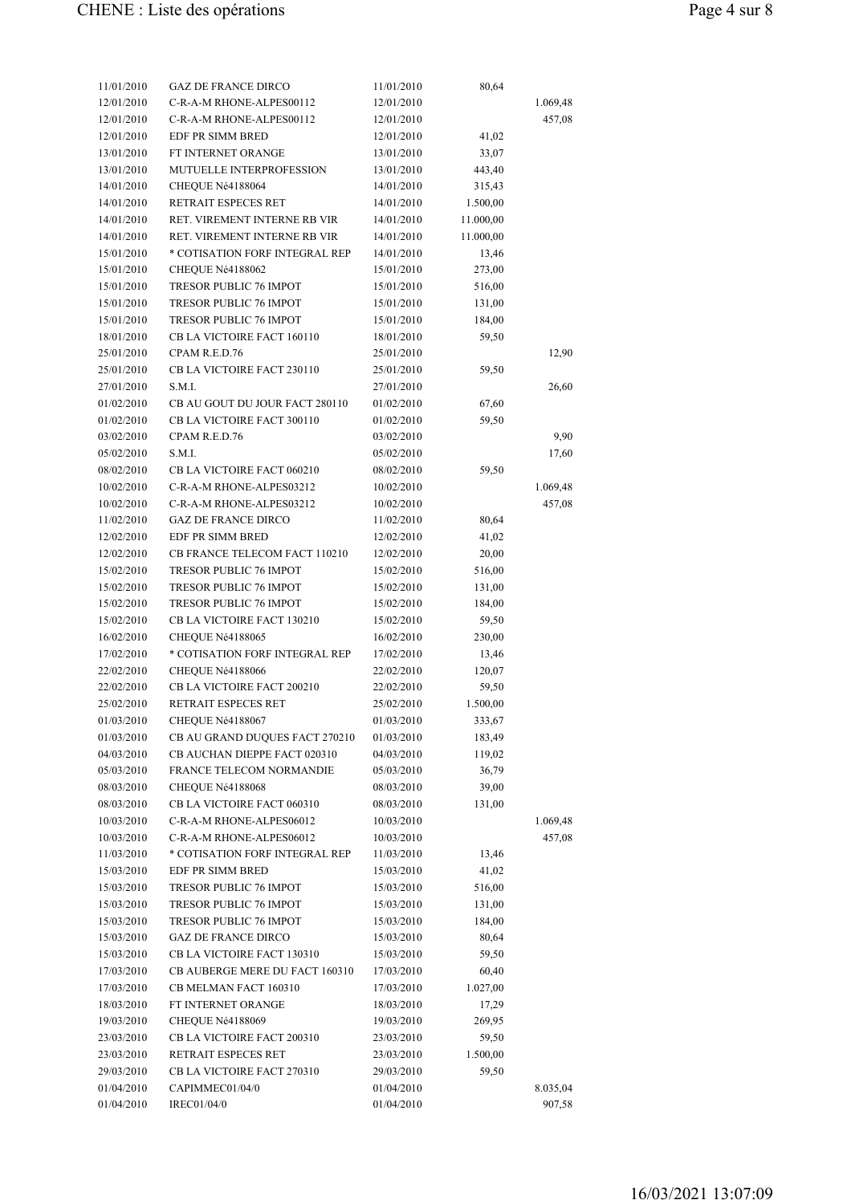| 11/01/2010 | <b>GAZ DE FRANCE DIRCO</b>     | 11/01/2010 | 80,64     |          |
|------------|--------------------------------|------------|-----------|----------|
| 12/01/2010 | C-R-A-M RHONE-ALPES00112       | 12/01/2010 |           | 1.069,48 |
| 12/01/2010 | C-R-A-M RHONE-ALPES00112       | 12/01/2010 |           | 457,08   |
| 12/01/2010 | EDF PR SIMM BRED               | 12/01/2010 | 41,02     |          |
| 13/01/2010 | FT INTERNET ORANGE             | 13/01/2010 | 33,07     |          |
| 13/01/2010 | MUTUELLE INTERPROFESSION       | 13/01/2010 | 443,40    |          |
| 14/01/2010 | CHEQUE Né4188064               | 14/01/2010 | 315,43    |          |
| 14/01/2010 | RETRAIT ESPECES RET            | 14/01/2010 | 1.500,00  |          |
| 14/01/2010 | RET. VIREMENT INTERNE RB VIR   | 14/01/2010 | 11.000,00 |          |
| 14/01/2010 | RET. VIREMENT INTERNE RB VIR   | 14/01/2010 | 11.000,00 |          |
| 15/01/2010 | * COTISATION FORF INTEGRAL REP | 14/01/2010 | 13,46     |          |
| 15/01/2010 | CHEQUE Né4188062               | 15/01/2010 | 273,00    |          |
| 15/01/2010 | TRESOR PUBLIC 76 IMPOT         | 15/01/2010 | 516,00    |          |
| 15/01/2010 | <b>TRESOR PUBLIC 76 IMPOT</b>  | 15/01/2010 | 131,00    |          |
| 15/01/2010 | <b>TRESOR PUBLIC 76 IMPOT</b>  | 15/01/2010 | 184,00    |          |
| 18/01/2010 | CB LA VICTOIRE FACT 160110     | 18/01/2010 | 59,50     |          |
| 25/01/2010 | CPAM R.E.D.76                  | 25/01/2010 |           | 12,90    |
| 25/01/2010 | CB LA VICTOIRE FACT 230110     | 25/01/2010 | 59,50     |          |
| 27/01/2010 | S.M.I.                         | 27/01/2010 |           | 26,60    |
| 01/02/2010 | CB AU GOUT DU JOUR FACT 280110 | 01/02/2010 | 67,60     |          |
| 01/02/2010 | CB LA VICTOIRE FACT 300110     | 01/02/2010 | 59,50     |          |
| 03/02/2010 | CPAM R.E.D.76                  | 03/02/2010 |           | 9,90     |
| 05/02/2010 | S.M.I.                         | 05/02/2010 |           | 17,60    |
| 08/02/2010 | CB LA VICTOIRE FACT 060210     | 08/02/2010 | 59,50     |          |
| 10/02/2010 | C-R-A-M RHONE-ALPES03212       | 10/02/2010 |           | 1.069,48 |
| 10/02/2010 | C-R-A-M RHONE-ALPES03212       | 10/02/2010 |           | 457,08   |
| 11/02/2010 | <b>GAZ DE FRANCE DIRCO</b>     | 11/02/2010 | 80,64     |          |
| 12/02/2010 | EDF PR SIMM BRED               | 12/02/2010 | 41,02     |          |
| 12/02/2010 | CB FRANCE TELECOM FACT 110210  | 12/02/2010 | 20,00     |          |
| 15/02/2010 | TRESOR PUBLIC 76 IMPOT         | 15/02/2010 | 516,00    |          |
| 15/02/2010 | TRESOR PUBLIC 76 IMPOT         | 15/02/2010 | 131,00    |          |
| 15/02/2010 | <b>TRESOR PUBLIC 76 IMPOT</b>  | 15/02/2010 | 184,00    |          |
| 15/02/2010 | CB LA VICTOIRE FACT 130210     | 15/02/2010 | 59,50     |          |
| 16/02/2010 | CHEQUE Né4188065               | 16/02/2010 | 230,00    |          |
| 17/02/2010 | * COTISATION FORF INTEGRAL REP | 17/02/2010 | 13,46     |          |
| 22/02/2010 | CHEQUE Né4188066               | 22/02/2010 | 120,07    |          |
| 22/02/2010 | CB LA VICTOIRE FACT 200210     | 22/02/2010 | 59,50     |          |
| 25/02/2010 | RETRAIT ESPECES RET            | 25/02/2010 | 1.500,00  |          |
| 01/03/2010 | CHEQUE Né4188067               | 01/03/2010 | 333,67    |          |
| 01/03/2010 | CB AU GRAND DUQUES FACT 270210 | 01/03/2010 | 183,49    |          |
| 04/03/2010 | CB AUCHAN DIEPPE FACT 020310   | 04/03/2010 | 119,02    |          |
| 05/03/2010 | FRANCE TELECOM NORMANDIE       | 05/03/2010 | 36,79     |          |
| 08/03/2010 | CHEQUE Né4188068               | 08/03/2010 | 39,00     |          |
| 08/03/2010 | CB LA VICTOIRE FACT 060310     | 08/03/2010 | 131,00    |          |
| 10/03/2010 | C-R-A-M RHONE-ALPES06012       | 10/03/2010 |           | 1.069,48 |
| 10/03/2010 | C-R-A-M RHONE-ALPES06012       | 10/03/2010 |           | 457,08   |
| 11/03/2010 | * COTISATION FORF INTEGRAL REP | 11/03/2010 | 13,46     |          |
| 15/03/2010 | EDF PR SIMM BRED               | 15/03/2010 | 41,02     |          |
| 15/03/2010 | TRESOR PUBLIC 76 IMPOT         | 15/03/2010 | 516,00    |          |
| 15/03/2010 | TRESOR PUBLIC 76 IMPOT         | 15/03/2010 | 131,00    |          |
| 15/03/2010 | TRESOR PUBLIC 76 IMPOT         | 15/03/2010 | 184,00    |          |
| 15/03/2010 | <b>GAZ DE FRANCE DIRCO</b>     | 15/03/2010 | 80,64     |          |
| 15/03/2010 | CB LA VICTOIRE FACT 130310     | 15/03/2010 | 59,50     |          |
| 17/03/2010 | CB AUBERGE MERE DU FACT 160310 | 17/03/2010 | 60,40     |          |
| 17/03/2010 | CB MELMAN FACT 160310          | 17/03/2010 | 1.027,00  |          |
| 18/03/2010 | FT INTERNET ORANGE             | 18/03/2010 | 17,29     |          |
| 19/03/2010 | CHEQUE Né4188069               | 19/03/2010 | 269,95    |          |
| 23/03/2010 | CB LA VICTOIRE FACT 200310     | 23/03/2010 | 59,50     |          |
| 23/03/2010 | RETRAIT ESPECES RET            | 23/03/2010 | 1.500,00  |          |
| 29/03/2010 | CB LA VICTOIRE FACT 270310     | 29/03/2010 | 59,50     |          |
| 01/04/2010 | CAPIMMEC01/04/0                | 01/04/2010 |           | 8.035,04 |
| 01/04/2010 | IREC01/04/0                    | 01/04/2010 |           | 907,58   |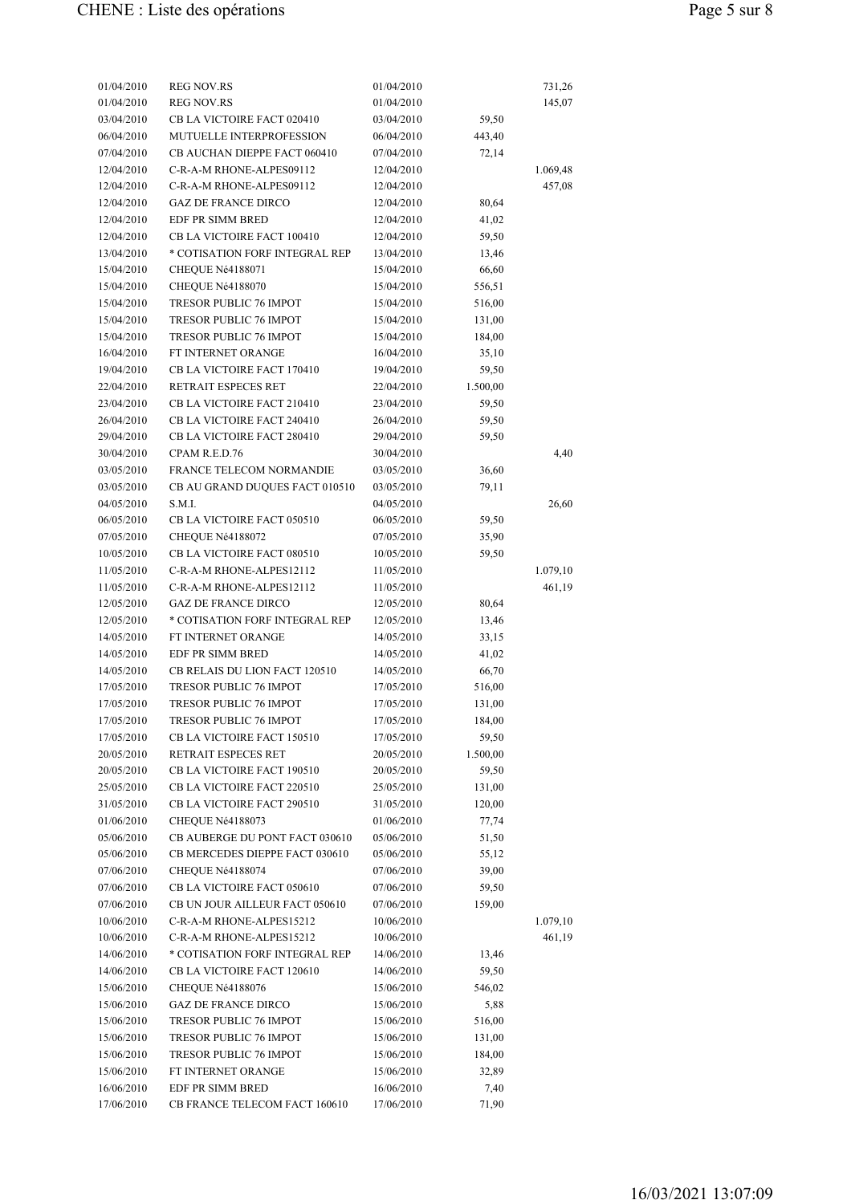| 01/04/2010 | <b>REG NOV.RS</b>              | 01/04/2010 |          | 731,26   |
|------------|--------------------------------|------------|----------|----------|
| 01/04/2010 | <b>REG NOV.RS</b>              | 01/04/2010 |          | 145,07   |
| 03/04/2010 | CB LA VICTOIRE FACT 020410     | 03/04/2010 | 59,50    |          |
| 06/04/2010 | MUTUELLE INTERPROFESSION       | 06/04/2010 | 443,40   |          |
| 07/04/2010 | CB AUCHAN DIEPPE FACT 060410   | 07/04/2010 | 72,14    |          |
| 12/04/2010 | C-R-A-M RHONE-ALPES09112       | 12/04/2010 |          | 1.069,48 |
| 12/04/2010 | C-R-A-M RHONE-ALPES09112       | 12/04/2010 |          | 457,08   |
| 12/04/2010 | <b>GAZ DE FRANCE DIRCO</b>     | 12/04/2010 | 80,64    |          |
| 12/04/2010 | <b>EDF PR SIMM BRED</b>        | 12/04/2010 | 41,02    |          |
| 12/04/2010 | CB LA VICTOIRE FACT 100410     | 12/04/2010 | 59,50    |          |
| 13/04/2010 | * COTISATION FORF INTEGRAL REP | 13/04/2010 | 13,46    |          |
| 15/04/2010 | CHEQUE Né4188071               | 15/04/2010 | 66,60    |          |
| 15/04/2010 | CHEQUE Né4188070               | 15/04/2010 | 556,51   |          |
| 15/04/2010 | TRESOR PUBLIC 76 IMPOT         | 15/04/2010 | 516,00   |          |
| 15/04/2010 | <b>TRESOR PUBLIC 76 IMPOT</b>  | 15/04/2010 | 131,00   |          |
| 15/04/2010 | <b>TRESOR PUBLIC 76 IMPOT</b>  | 15/04/2010 | 184,00   |          |
| 16/04/2010 | FT INTERNET ORANGE             | 16/04/2010 | 35,10    |          |
| 19/04/2010 | CB LA VICTOIRE FACT 170410     | 19/04/2010 | 59,50    |          |
| 22/04/2010 | <b>RETRAIT ESPECES RET</b>     | 22/04/2010 | 1.500,00 |          |
| 23/04/2010 | CB LA VICTOIRE FACT 210410     | 23/04/2010 | 59,50    |          |
| 26/04/2010 |                                |            |          |          |
|            | CB LA VICTOIRE FACT 240410     | 26/04/2010 | 59,50    |          |
| 29/04/2010 | CB LA VICTOIRE FACT 280410     | 29/04/2010 | 59,50    |          |
| 30/04/2010 | CPAM R.E.D.76                  | 30/04/2010 |          | 4,40     |
| 03/05/2010 | FRANCE TELECOM NORMANDIE       | 03/05/2010 | 36,60    |          |
| 03/05/2010 | CB AU GRAND DUQUES FACT 010510 | 03/05/2010 | 79,11    |          |
| 04/05/2010 | S.M.I.                         | 04/05/2010 |          | 26,60    |
| 06/05/2010 | CB LA VICTOIRE FACT 050510     | 06/05/2010 | 59,50    |          |
| 07/05/2010 | CHEQUE Né4188072               | 07/05/2010 | 35,90    |          |
| 10/05/2010 | CB LA VICTOIRE FACT 080510     | 10/05/2010 | 59,50    |          |
| 11/05/2010 | C-R-A-M RHONE-ALPES12112       | 11/05/2010 |          | 1.079,10 |
| 11/05/2010 | C-R-A-M RHONE-ALPES12112       | 11/05/2010 |          | 461,19   |
| 12/05/2010 | <b>GAZ DE FRANCE DIRCO</b>     | 12/05/2010 | 80,64    |          |
| 12/05/2010 | * COTISATION FORF INTEGRAL REP | 12/05/2010 | 13,46    |          |
| 14/05/2010 | <b>FT INTERNET ORANGE</b>      | 14/05/2010 | 33,15    |          |
| 14/05/2010 | EDF PR SIMM BRED               | 14/05/2010 | 41,02    |          |
| 14/05/2010 | CB RELAIS DU LION FACT 120510  | 14/05/2010 | 66,70    |          |
| 17/05/2010 | <b>TRESOR PUBLIC 76 IMPOT</b>  | 17/05/2010 | 516,00   |          |
| 17/05/2010 | <b>TRESOR PUBLIC 76 IMPOT</b>  | 17/05/2010 | 131,00   |          |
| 17/05/2010 | <b>TRESOR PUBLIC 76 IMPOT</b>  | 17/05/2010 | 184,00   |          |
| 17/05/2010 | CB LA VICTOIRE FACT 150510     | 17/05/2010 | 59,50    |          |
| 20/05/2010 | RETRAIT ESPECES RET            | 20/05/2010 | 1.500,00 |          |
| 20/05/2010 | CB LA VICTOIRE FACT 190510     | 20/05/2010 | 59,50    |          |
| 25/05/2010 | CB LA VICTOIRE FACT 220510     | 25/05/2010 | 131,00   |          |
| 31/05/2010 | CB LA VICTOIRE FACT 290510     | 31/05/2010 | 120,00   |          |
| 01/06/2010 | CHEQUE Né4188073               | 01/06/2010 | 77,74    |          |
| 05/06/2010 | CB AUBERGE DU PONT FACT 030610 | 05/06/2010 | 51,50    |          |
|            | CB MERCEDES DIEPPE FACT 030610 |            |          |          |
| 05/06/2010 |                                | 05/06/2010 | 55,12    |          |
| 07/06/2010 | CHEQUE Né4188074               | 07/06/2010 | 39,00    |          |
| 07/06/2010 | CB LA VICTOIRE FACT 050610     | 07/06/2010 | 59,50    |          |
| 07/06/2010 | CB UN JOUR AILLEUR FACT 050610 | 07/06/2010 | 159,00   |          |
| 10/06/2010 | C-R-A-M RHONE-ALPES15212       | 10/06/2010 |          | 1.079,10 |
| 10/06/2010 | C-R-A-M RHONE-ALPES15212       | 10/06/2010 |          | 461,19   |
| 14/06/2010 | * COTISATION FORF INTEGRAL REP | 14/06/2010 | 13,46    |          |
| 14/06/2010 | CB LA VICTOIRE FACT 120610     | 14/06/2010 | 59,50    |          |
| 15/06/2010 | CHEQUE Né4188076               | 15/06/2010 | 546,02   |          |
| 15/06/2010 | <b>GAZ DE FRANCE DIRCO</b>     | 15/06/2010 | 5,88     |          |
| 15/06/2010 | <b>TRESOR PUBLIC 76 IMPOT</b>  | 15/06/2010 | 516,00   |          |
| 15/06/2010 | TRESOR PUBLIC 76 IMPOT         | 15/06/2010 | 131,00   |          |
| 15/06/2010 | TRESOR PUBLIC 76 IMPOT         | 15/06/2010 | 184,00   |          |
| 15/06/2010 | FT INTERNET ORANGE             | 15/06/2010 | 32,89    |          |
| 16/06/2010 | EDF PR SIMM BRED               | 16/06/2010 | 7,40     |          |
| 17/06/2010 | CB FRANCE TELECOM FACT 160610  | 17/06/2010 | 71,90    |          |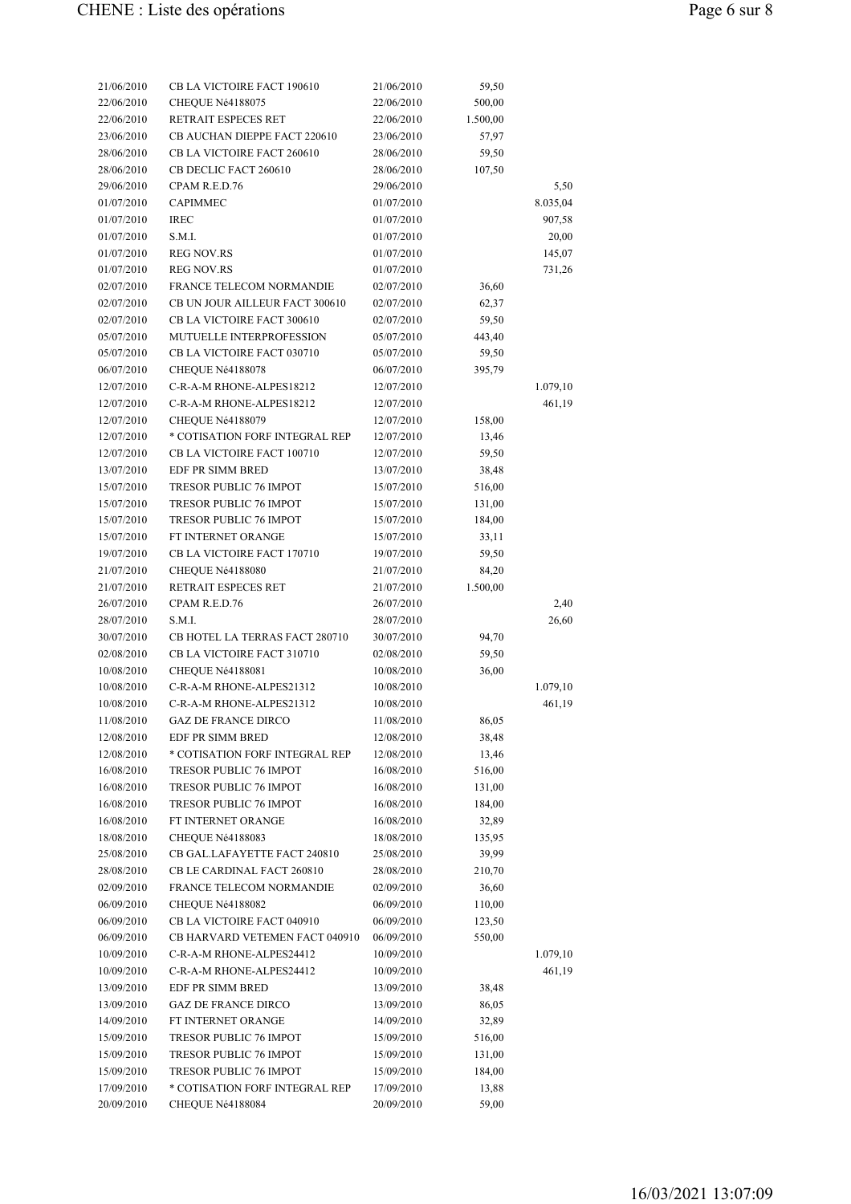| 21/06/2010 | CB LA VICTOIRE FACT 190610     | 21/06/2010 | 59,50    |          |
|------------|--------------------------------|------------|----------|----------|
| 22/06/2010 | CHEQUE Né4188075               | 22/06/2010 | 500,00   |          |
| 22/06/2010 | RETRAIT ESPECES RET            | 22/06/2010 | 1.500,00 |          |
| 23/06/2010 | CB AUCHAN DIEPPE FACT 220610   | 23/06/2010 | 57,97    |          |
| 28/06/2010 | CB LA VICTOIRE FACT 260610     | 28/06/2010 | 59,50    |          |
| 28/06/2010 | CB DECLIC FACT 260610          | 28/06/2010 | 107,50   |          |
| 29/06/2010 | CPAM R.E.D.76                  | 29/06/2010 |          | 5,50     |
| 01/07/2010 | <b>CAPIMMEC</b>                | 01/07/2010 |          | 8.035,04 |
| 01/07/2010 | <b>IREC</b>                    | 01/07/2010 |          | 907,58   |
| 01/07/2010 | S.M.I.                         | 01/07/2010 |          | 20,00    |
| 01/07/2010 | <b>REG NOV.RS</b>              | 01/07/2010 |          | 145,07   |
| 01/07/2010 | <b>REG NOV.RS</b>              | 01/07/2010 |          | 731,26   |
| 02/07/2010 | FRANCE TELECOM NORMANDIE       | 02/07/2010 | 36,60    |          |
| 02/07/2010 | CB UN JOUR AILLEUR FACT 300610 | 02/07/2010 | 62,37    |          |
| 02/07/2010 | CB LA VICTOIRE FACT 300610     | 02/07/2010 | 59,50    |          |
| 05/07/2010 | MUTUELLE INTERPROFESSION       | 05/07/2010 | 443,40   |          |
| 05/07/2010 | CB LA VICTOIRE FACT 030710     | 05/07/2010 | 59,50    |          |
| 06/07/2010 | CHEQUE Né4188078               | 06/07/2010 | 395,79   |          |
| 12/07/2010 | C-R-A-M RHONE-ALPES18212       | 12/07/2010 |          | 1.079,10 |
| 12/07/2010 | C-R-A-M RHONE-ALPES18212       | 12/07/2010 |          | 461,19   |
| 12/07/2010 | CHEQUE Né4188079               | 12/07/2010 | 158,00   |          |
| 12/07/2010 | * COTISATION FORF INTEGRAL REP | 12/07/2010 | 13,46    |          |
| 12/07/2010 | CB LA VICTOIRE FACT 100710     | 12/07/2010 | 59,50    |          |
| 13/07/2010 | EDF PR SIMM BRED               | 13/07/2010 | 38,48    |          |
| 15/07/2010 | <b>TRESOR PUBLIC 76 IMPOT</b>  | 15/07/2010 | 516,00   |          |
| 15/07/2010 | <b>TRESOR PUBLIC 76 IMPOT</b>  | 15/07/2010 | 131,00   |          |
| 15/07/2010 | TRESOR PUBLIC 76 IMPOT         | 15/07/2010 | 184,00   |          |
| 15/07/2010 | FT INTERNET ORANGE             | 15/07/2010 | 33,11    |          |
| 19/07/2010 | CB LA VICTOIRE FACT 170710     | 19/07/2010 | 59,50    |          |
| 21/07/2010 | CHEQUE Né4188080               | 21/07/2010 | 84,20    |          |
| 21/07/2010 | RETRAIT ESPECES RET            | 21/07/2010 | 1.500,00 |          |
| 26/07/2010 | CPAM R.E.D.76                  | 26/07/2010 |          | 2,40     |
| 28/07/2010 | S.M.I.                         | 28/07/2010 |          | 26,60    |
| 30/07/2010 | CB HOTEL LA TERRAS FACT 280710 | 30/07/2010 | 94,70    |          |
| 02/08/2010 | CB LA VICTOIRE FACT 310710     | 02/08/2010 | 59,50    |          |
| 10/08/2010 | CHEQUE Né4188081               | 10/08/2010 | 36,00    |          |
| 10/08/2010 | C-R-A-M RHONE-ALPES21312       | 10/08/2010 |          | 1.079,10 |
| 10/08/2010 | C-R-A-M RHONE-ALPES21312       | 10/08/2010 |          | 461,19   |
| 11/08/2010 | <b>GAZ DE FRANCE DIRCO</b>     | 11/08/2010 | 86,05    |          |
| 12/08/2010 | EDF PR SIMM BRED               | 12/08/2010 | 38,48    |          |
| 12/08/2010 | * COTISATION FORF INTEGRAL REP | 12/08/2010 | 13,46    |          |
| 16/08/2010 | TRESOR PUBLIC 76 IMPOT         | 16/08/2010 | 516,00   |          |
| 16/08/2010 | <b>TRESOR PUBLIC 76 IMPOT</b>  | 16/08/2010 | 131,00   |          |
| 16/08/2010 | <b>TRESOR PUBLIC 76 IMPOT</b>  | 16/08/2010 | 184,00   |          |
| 16/08/2010 | FT INTERNET ORANGE             | 16/08/2010 | 32,89    |          |
| 18/08/2010 | CHEQUE Né4188083               | 18/08/2010 | 135,95   |          |
| 25/08/2010 | CB GAL.LAFAYETTE FACT 240810   | 25/08/2010 | 39,99    |          |
| 28/08/2010 | CB LE CARDINAL FACT 260810     | 28/08/2010 | 210,70   |          |
| 02/09/2010 | FRANCE TELECOM NORMANDIE       | 02/09/2010 | 36,60    |          |
| 06/09/2010 | CHEQUE Né4188082               | 06/09/2010 | 110,00   |          |
| 06/09/2010 | CB LA VICTOIRE FACT 040910     | 06/09/2010 | 123,50   |          |
| 06/09/2010 | CB HARVARD VETEMEN FACT 040910 | 06/09/2010 | 550,00   |          |
| 10/09/2010 | C-R-A-M RHONE-ALPES24412       | 10/09/2010 |          | 1.079,10 |
| 10/09/2010 | C-R-A-M RHONE-ALPES24412       | 10/09/2010 |          | 461,19   |
| 13/09/2010 | EDF PR SIMM BRED               | 13/09/2010 | 38,48    |          |
| 13/09/2010 | <b>GAZ DE FRANCE DIRCO</b>     | 13/09/2010 | 86,05    |          |
| 14/09/2010 | FT INTERNET ORANGE             | 14/09/2010 | 32,89    |          |
| 15/09/2010 | TRESOR PUBLIC 76 IMPOT         | 15/09/2010 | 516,00   |          |
| 15/09/2010 | TRESOR PUBLIC 76 IMPOT         | 15/09/2010 | 131,00   |          |
| 15/09/2010 | TRESOR PUBLIC 76 IMPOT         | 15/09/2010 | 184,00   |          |
| 17/09/2010 | * COTISATION FORF INTEGRAL REP | 17/09/2010 | 13,88    |          |
|            |                                | 20/09/2010 |          |          |
| 20/09/2010 | CHEQUE Né4188084               |            | 59,00    |          |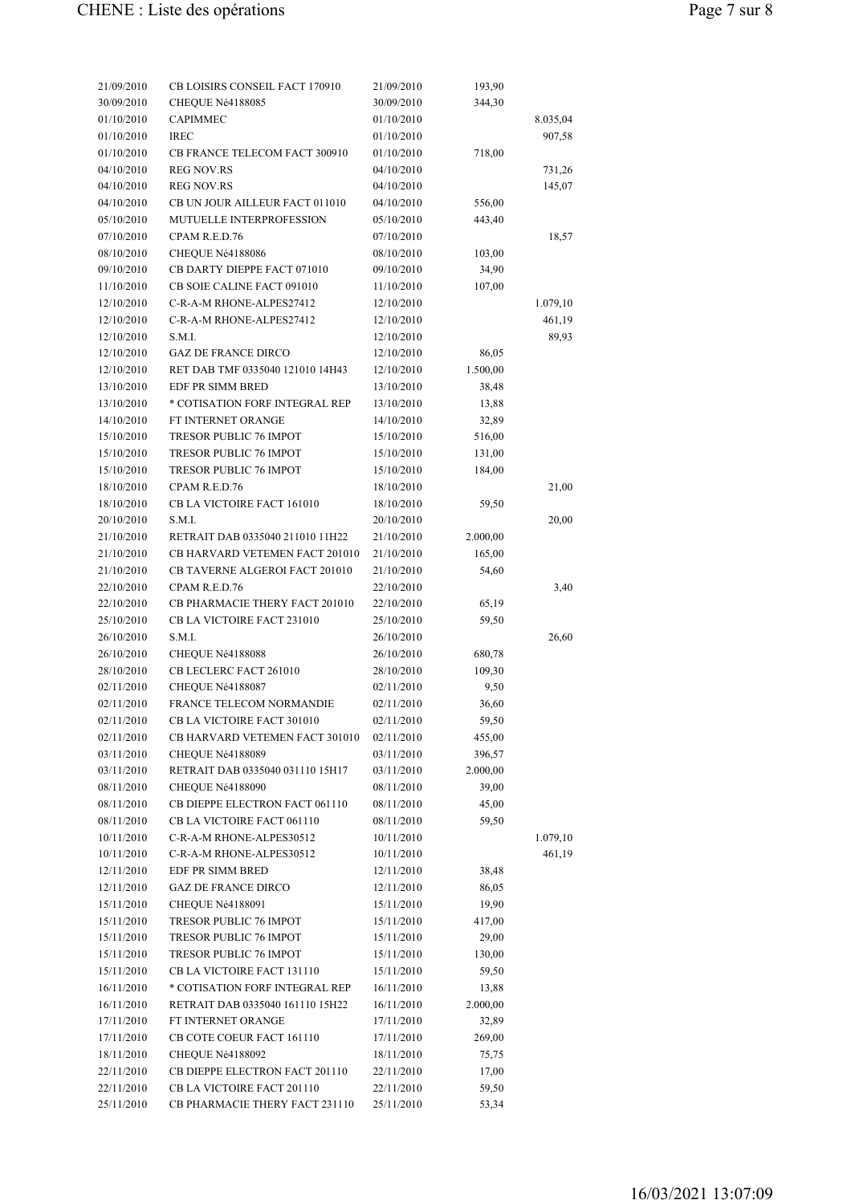| 21/09/2010               | CB LOISIRS CONSEIL FACT 170910   | 21/09/2010 | 193,90            |          |
|--------------------------|----------------------------------|------------|-------------------|----------|
| 30/09/2010               | CHEQUE Né4188085                 | 30/09/2010 | 344,30            |          |
| 01/10/2010               | <b>CAPIMMEC</b>                  | 01/10/2010 |                   | 8.035,04 |
| 01/10/2010               | <b>IREC</b>                      | 01/10/2010 |                   | 907,58   |
| 01/10/2010               | CB FRANCE TELECOM FACT 300910    | 01/10/2010 | 718,00            |          |
| 04/10/2010               | <b>REG NOV.RS</b>                | 04/10/2010 |                   | 731,26   |
| 04/10/2010               | <b>REG NOV.RS</b>                | 04/10/2010 |                   | 145,07   |
| 04/10/2010               | CB UN JOUR AILLEUR FACT 011010   | 04/10/2010 | 556,00            |          |
| 05/10/2010               | MUTUELLE INTERPROFESSION         | 05/10/2010 | 443,40            |          |
| 07/10/2010               | CPAM R.E.D.76                    | 07/10/2010 |                   | 18,57    |
| 08/10/2010               | CHEQUE Né4188086                 | 08/10/2010 | 103,00            |          |
| 09/10/2010               | CB DARTY DIEPPE FACT 071010      | 09/10/2010 | 34,90             |          |
| 11/10/2010               | CB SOIE CALINE FACT 091010       | 11/10/2010 | 107,00            |          |
| 12/10/2010               | C-R-A-M RHONE-ALPES27412         | 12/10/2010 |                   | 1.079,10 |
| 12/10/2010               | C-R-A-M RHONE-ALPES27412         | 12/10/2010 |                   | 461,19   |
| 12/10/2010               | S.M.I.                           | 12/10/2010 |                   | 89,93    |
| 12/10/2010               | <b>GAZ DE FRANCE DIRCO</b>       | 12/10/2010 | 86,05             |          |
| 12/10/2010               | RET DAB TMF 0335040 121010 14H43 | 12/10/2010 | 1.500,00          |          |
| 13/10/2010               | EDF PR SIMM BRED                 | 13/10/2010 | 38,48             |          |
| 13/10/2010               | * COTISATION FORF INTEGRAL REP   | 13/10/2010 | 13,88             |          |
| 14/10/2010               | FT INTERNET ORANGE               | 14/10/2010 | 32,89             |          |
| 15/10/2010               | TRESOR PUBLIC 76 IMPOT           | 15/10/2010 | 516,00            |          |
| 15/10/2010               | TRESOR PUBLIC 76 IMPOT           | 15/10/2010 | 131,00            |          |
| 15/10/2010               | TRESOR PUBLIC 76 IMPOT           | 15/10/2010 | 184,00            |          |
| 18/10/2010               | CPAM R.E.D.76                    | 18/10/2010 |                   | 21,00    |
| 18/10/2010               | CB LA VICTOIRE FACT 161010       | 18/10/2010 | 59,50             |          |
| 20/10/2010               | S.M.I.                           | 20/10/2010 |                   | 20,00    |
| 21/10/2010               | RETRAIT DAB 0335040 211010 11H22 | 21/10/2010 | 2.000,00          |          |
| 21/10/2010               | CB HARVARD VETEMEN FACT 201010   | 21/10/2010 | 165,00            |          |
| 21/10/2010               | CB TAVERNE ALGEROI FACT 201010   | 21/10/2010 | 54,60             |          |
| 22/10/2010               | CPAM R.E.D.76                    | 22/10/2010 |                   | 3,40     |
| 22/10/2010               | CB PHARMACIE THERY FACT 201010   | 22/10/2010 | 65,19             |          |
| 25/10/2010               | CB LA VICTOIRE FACT 231010       | 25/10/2010 | 59,50             |          |
| 26/10/2010               | S.M.I.                           | 26/10/2010 |                   | 26,60    |
| 26/10/2010               | CHEQUE Né4188088                 | 26/10/2010 | 680,78            |          |
| 28/10/2010               | CB LECLERC FACT 261010           | 28/10/2010 | 109,30            |          |
| 02/11/2010               | CHEQUE Né4188087                 | 02/11/2010 | 9,50              |          |
| 02/11/2010               | FRANCE TELECOM NORMANDIE         | 02/11/2010 | 36,60             |          |
| 02/11/2010               | CB LA VICTOIRE FACT 301010       | 02/11/2010 | 59,50             |          |
| 02/11/2010               | CB HARVARD VETEMEN FACT 301010   | 02/11/2010 | 455,00            |          |
| 03/11/2010               | CHEQUE Né4188089                 | 03/11/2010 | 396,57            |          |
| 03/11/2010               | RETRAIT DAB 0335040 031110 15H17 | 03/11/2010 | 2.000,00          |          |
| 08/11/2010               | CHEQUE Né4188090                 | 08/11/2010 | 39,00             |          |
| 08/11/2010               | CB DIEPPE ELECTRON FACT 061110   | 08/11/2010 | 45,00             |          |
| 08/11/2010               | CB LA VICTOIRE FACT 061110       | 08/11/2010 | 59,50             |          |
| 10/11/2010               | C-R-A-M RHONE-ALPES30512         | 10/11/2010 |                   | 1.079,10 |
| 10/11/2010               | C-R-A-M RHONE-ALPES30512         | 10/11/2010 |                   | 461,19   |
| 12/11/2010               | EDF PR SIMM BRED                 | 12/11/2010 | 38,48             |          |
| 12/11/2010               | <b>GAZ DE FRANCE DIRCO</b>       | 12/11/2010 | 86,05             |          |
| 15/11/2010               | CHEQUE Né4188091                 | 15/11/2010 | 19,90             |          |
| 15/11/2010               | TRESOR PUBLIC 76 IMPOT           | 15/11/2010 | 417,00            |          |
| 15/11/2010               | TRESOR PUBLIC 76 IMPOT           | 15/11/2010 | 29,00             |          |
| 15/11/2010               | TRESOR PUBLIC 76 IMPOT           | 15/11/2010 | 130,00            |          |
| 15/11/2010               | CB LA VICTOIRE FACT 131110       | 15/11/2010 | 59,50             |          |
| 16/11/2010               | * COTISATION FORF INTEGRAL REP   | 16/11/2010 |                   |          |
| 16/11/2010               | RETRAIT DAB 0335040 161110 15H22 | 16/11/2010 | 13,88<br>2.000,00 |          |
| 17/11/2010               | FT INTERNET ORANGE               | 17/11/2010 | 32,89             |          |
| 17/11/2010               | CB COTE COEUR FACT 161110        | 17/11/2010 | 269,00            |          |
| 18/11/2010               | CHEQUE Né4188092                 | 18/11/2010 | 75,75             |          |
|                          | CB DIEPPE ELECTRON FACT 201110   | 22/11/2010 | 17,00             |          |
| 22/11/2010<br>22/11/2010 | CB LA VICTOIRE FACT 201110       | 22/11/2010 | 59,50             |          |
|                          | CB PHARMACIE THERY FACT 231110   |            |                   |          |
| 25/11/2010               |                                  | 25/11/2010 | 53,34             |          |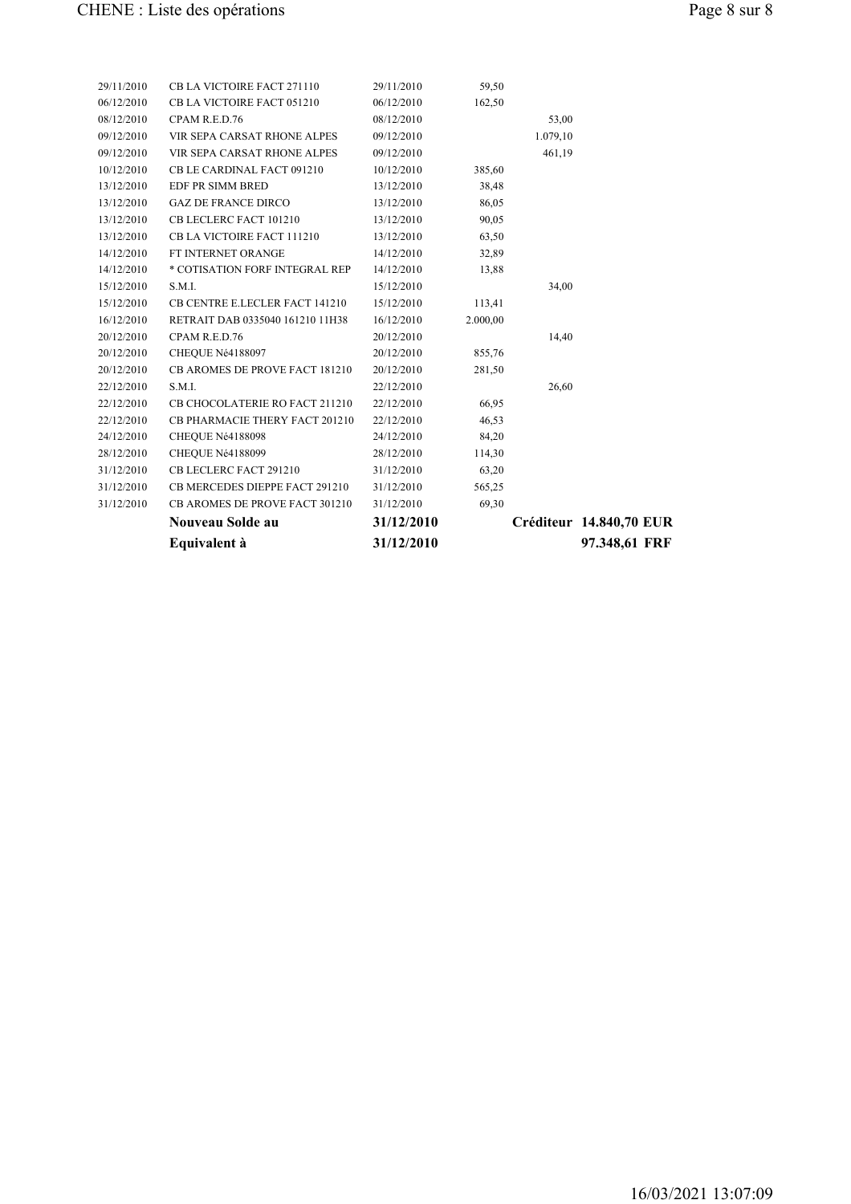|            | Equivalent à                          | 31/12/2010 |          |          | 97.348,61 FRF           |
|------------|---------------------------------------|------------|----------|----------|-------------------------|
|            | Nouveau Solde au                      | 31/12/2010 |          |          | Créditeur 14.840,70 EUR |
| 31/12/2010 | CB AROMES DE PROVE FACT 301210        | 31/12/2010 | 69,30    |          |                         |
| 31/12/2010 | CB MERCEDES DIEPPE FACT 291210        | 31/12/2010 | 565,25   |          |                         |
| 31/12/2010 | CB LECLERC FACT 291210                | 31/12/2010 | 63,20    |          |                         |
| 28/12/2010 | CHEQUE Né4188099                      | 28/12/2010 | 114,30   |          |                         |
| 24/12/2010 | CHEQUE Né4188098                      | 24/12/2010 | 84,20    |          |                         |
| 22/12/2010 | CB PHARMACIE THERY FACT 201210        | 22/12/2010 | 46,53    |          |                         |
| 22/12/2010 | CB CHOCOLATERIE RO FACT 211210        | 22/12/2010 | 66,95    |          |                         |
| 22/12/2010 | S.M.I.                                | 22/12/2010 |          | 26,60    |                         |
| 20/12/2010 | <b>CB AROMES DE PROVE FACT 181210</b> | 20/12/2010 | 281,50   |          |                         |
| 20/12/2010 | CHEQUE Né4188097                      | 20/12/2010 | 855,76   |          |                         |
| 20/12/2010 | CPAM R.E.D.76                         | 20/12/2010 |          | 14,40    |                         |
| 16/12/2010 | RETRAIT DAB 0335040 161210 11H38      | 16/12/2010 | 2.000,00 |          |                         |
| 15/12/2010 | CB CENTRE E.LECLER FACT 141210        | 15/12/2010 | 113,41   |          |                         |
| 15/12/2010 | S.M.I.                                | 15/12/2010 |          | 34,00    |                         |
| 14/12/2010 | * COTISATION FORF INTEGRAL REP        | 14/12/2010 | 13,88    |          |                         |
| 14/12/2010 | FT INTERNET ORANGE                    | 14/12/2010 | 32,89    |          |                         |
| 13/12/2010 | CB LA VICTOIRE FACT 111210            | 13/12/2010 | 63,50    |          |                         |
| 13/12/2010 | CB LECLERC FACT 101210                | 13/12/2010 | 90,05    |          |                         |
| 13/12/2010 | <b>GAZ DE FRANCE DIRCO</b>            | 13/12/2010 | 86,05    |          |                         |
| 13/12/2010 | EDF PR SIMM BRED                      | 13/12/2010 | 38,48    |          |                         |
| 10/12/2010 | CB LE CARDINAL FACT 091210            | 10/12/2010 | 385,60   |          |                         |
| 09/12/2010 | VIR SEPA CARSAT RHONE ALPES           | 09/12/2010 |          | 461,19   |                         |
| 09/12/2010 | VIR SEPA CARSAT RHONE ALPES           | 09/12/2010 |          | 1.079,10 |                         |
| 08/12/2010 | CPAM R.E.D.76                         | 08/12/2010 |          | 53,00    |                         |
| 06/12/2010 | CB LA VICTOIRE FACT 051210            | 06/12/2010 | 162,50   |          |                         |
| 29/11/2010 | CB LA VICTOIRE FACT 271110            | 29/11/2010 | 59,50    |          |                         |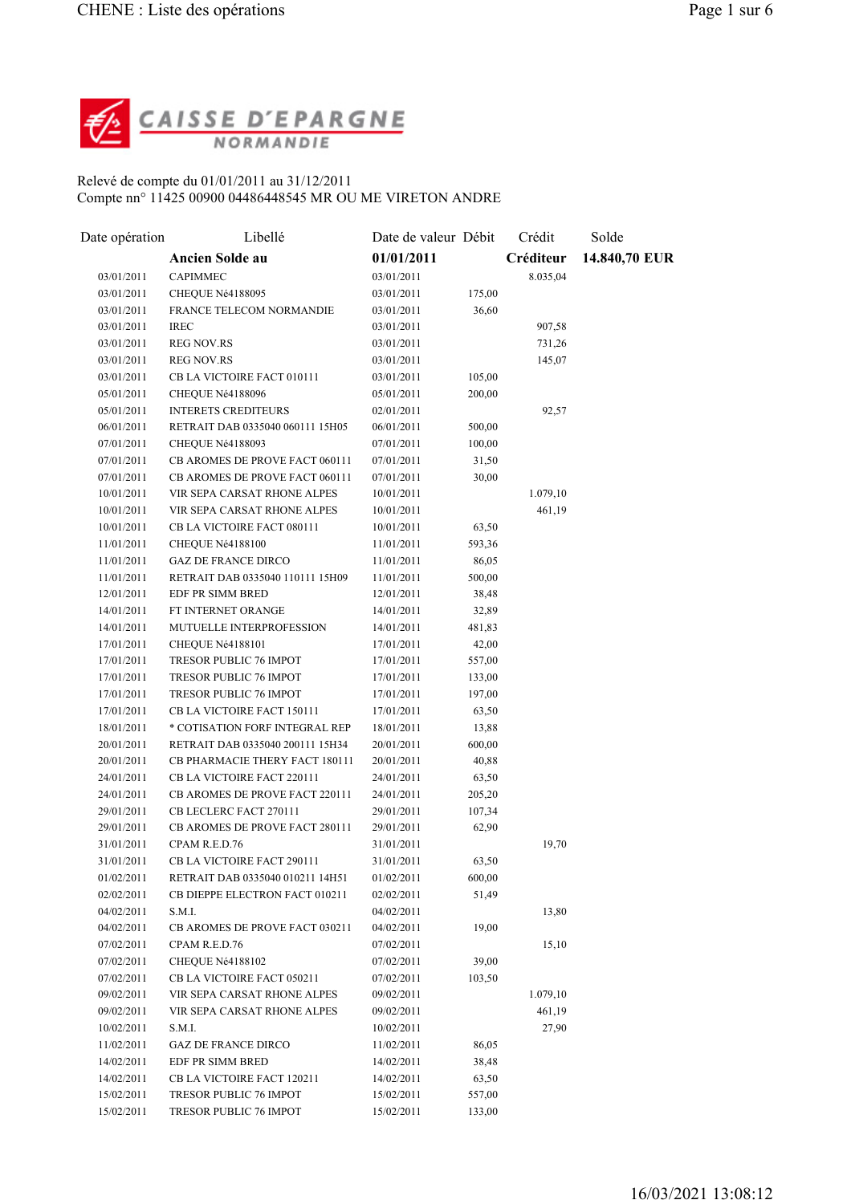

## Relevé de compte du 01/01/2011 au 31/12/2011 Compte nn° 11425 00900 04486448545 MR OU ME VIRETON ANDRE

| Date opération | Libellé                          | Date de valeur Débit |                 | Crédit    | Solde         |
|----------------|----------------------------------|----------------------|-----------------|-----------|---------------|
|                | <b>Ancien Solde au</b>           | 01/01/2011           |                 | Créditeur | 14.840,70 EUR |
| 03/01/2011     | <b>CAPIMMEC</b>                  | 03/01/2011           |                 | 8.035,04  |               |
| 03/01/2011     | CHEQUE Né4188095                 | 03/01/2011           | 175,00          |           |               |
| 03/01/2011     | FRANCE TELECOM NORMANDIE         | 03/01/2011           | 36,60           |           |               |
| 03/01/2011     | <b>IREC</b>                      | 03/01/2011           |                 | 907,58    |               |
| 03/01/2011     | <b>REG NOV.RS</b>                | 03/01/2011           |                 | 731,26    |               |
| 03/01/2011     | <b>REG NOV.RS</b>                | 03/01/2011           |                 | 145,07    |               |
| 03/01/2011     | CB LA VICTOIRE FACT 010111       | 03/01/2011           | 105,00          |           |               |
| 05/01/2011     | CHEQUE Né4188096                 | 05/01/2011           | 200,00          |           |               |
| 05/01/2011     | <b>INTERETS CREDITEURS</b>       | 02/01/2011           |                 | 92,57     |               |
| 06/01/2011     | RETRAIT DAB 0335040 060111 15H05 | 06/01/2011           | 500,00          |           |               |
| 07/01/2011     | CHEQUE Né4188093                 | 07/01/2011           | 100,00          |           |               |
| 07/01/2011     | CB AROMES DE PROVE FACT 060111   | 07/01/2011           | 31,50           |           |               |
| 07/01/2011     | CB AROMES DE PROVE FACT 060111   | 07/01/2011           | 30,00           |           |               |
| 10/01/2011     | VIR SEPA CARSAT RHONE ALPES      | 10/01/2011           |                 | 1.079,10  |               |
| 10/01/2011     | VIR SEPA CARSAT RHONE ALPES      | 10/01/2011           |                 | 461,19    |               |
| 10/01/2011     | CB LA VICTOIRE FACT 080111       | 10/01/2011           | 63,50           |           |               |
| 11/01/2011     | CHEQUE Né4188100                 | 11/01/2011           | 593,36          |           |               |
| 11/01/2011     | <b>GAZ DE FRANCE DIRCO</b>       | 11/01/2011           | 86,05           |           |               |
| 11/01/2011     | RETRAIT DAB 0335040 110111 15H09 | 11/01/2011           | 500,00          |           |               |
| 12/01/2011     | EDF PR SIMM BRED                 | 12/01/2011           | 38,48           |           |               |
| 14/01/2011     | FT INTERNET ORANGE               | 14/01/2011           | 32,89           |           |               |
| 14/01/2011     | MUTUELLE INTERPROFESSION         | 14/01/2011           | 481,83          |           |               |
| 17/01/2011     | CHEQUE Né4188101                 | 17/01/2011           | 42,00           |           |               |
| 17/01/2011     | TRESOR PUBLIC 76 IMPOT           | 17/01/2011           | 557,00          |           |               |
| 17/01/2011     | TRESOR PUBLIC 76 IMPOT           | 17/01/2011           | 133,00          |           |               |
| 17/01/2011     | TRESOR PUBLIC 76 IMPOT           | 17/01/2011           | 197,00          |           |               |
| 17/01/2011     | CB LA VICTOIRE FACT 150111       | 17/01/2011           | 63,50           |           |               |
| 18/01/2011     | * COTISATION FORF INTEGRAL REP   | 18/01/2011           | 13,88           |           |               |
| 20/01/2011     | RETRAIT DAB 0335040 200111 15H34 | 20/01/2011           | 600,00          |           |               |
| 20/01/2011     | CB PHARMACIE THERY FACT 180111   | 20/01/2011           | 40,88           |           |               |
| 24/01/2011     | CB LA VICTOIRE FACT 220111       | 24/01/2011           | 63,50           |           |               |
| 24/01/2011     | CB AROMES DE PROVE FACT 220111   | 24/01/2011           | 205,20          |           |               |
| 29/01/2011     | CB LECLERC FACT 270111           | 29/01/2011           | 107,34          |           |               |
| 29/01/2011     | CB AROMES DE PROVE FACT 280111   | 29/01/2011           | 62,90           |           |               |
| 31/01/2011     | CPAM R.E.D.76                    | 31/01/2011           |                 | 19,70     |               |
| 31/01/2011     | CB LA VICTOIRE FACT 290111       | 31/01/2011           |                 |           |               |
| 01/02/2011     | RETRAIT DAB 0335040 010211 14H51 | 01/02/2011           | 63,50<br>600,00 |           |               |
| 02/02/2011     | CB DIEPPE ELECTRON FACT 010211   |                      | 51,49           |           |               |
|                | S.M.I.                           | 02/02/2011           |                 |           |               |
| 04/02/2011     | CB AROMES DE PROVE FACT 030211   | 04/02/2011           |                 | 13,80     |               |
| 04/02/2011     |                                  | 04/02/2011           | 19,00           |           |               |
| 07/02/2011     | CPAM R.E.D.76                    | 07/02/2011           |                 | 15,10     |               |
| 07/02/2011     | CHEQUE Né4188102                 | 07/02/2011           | 39,00           |           |               |
| 07/02/2011     | CB LA VICTOIRE FACT 050211       | 07/02/2011           | 103,50          |           |               |
| 09/02/2011     | VIR SEPA CARSAT RHONE ALPES      | 09/02/2011           |                 | 1.079,10  |               |
| 09/02/2011     | VIR SEPA CARSAT RHONE ALPES      | 09/02/2011           |                 | 461,19    |               |
| 10/02/2011     | S.M.I.                           | 10/02/2011           |                 | 27,90     |               |
| 11/02/2011     | <b>GAZ DE FRANCE DIRCO</b>       | 11/02/2011           | 86,05           |           |               |
| 14/02/2011     | EDF PR SIMM BRED                 | 14/02/2011           | 38,48           |           |               |
| 14/02/2011     | CB LA VICTOIRE FACT 120211       | 14/02/2011           | 63,50           |           |               |
| 15/02/2011     | TRESOR PUBLIC 76 IMPOT           | 15/02/2011           | 557,00          |           |               |
| 15/02/2011     | TRESOR PUBLIC 76 IMPOT           | 15/02/2011           | 133,00          |           |               |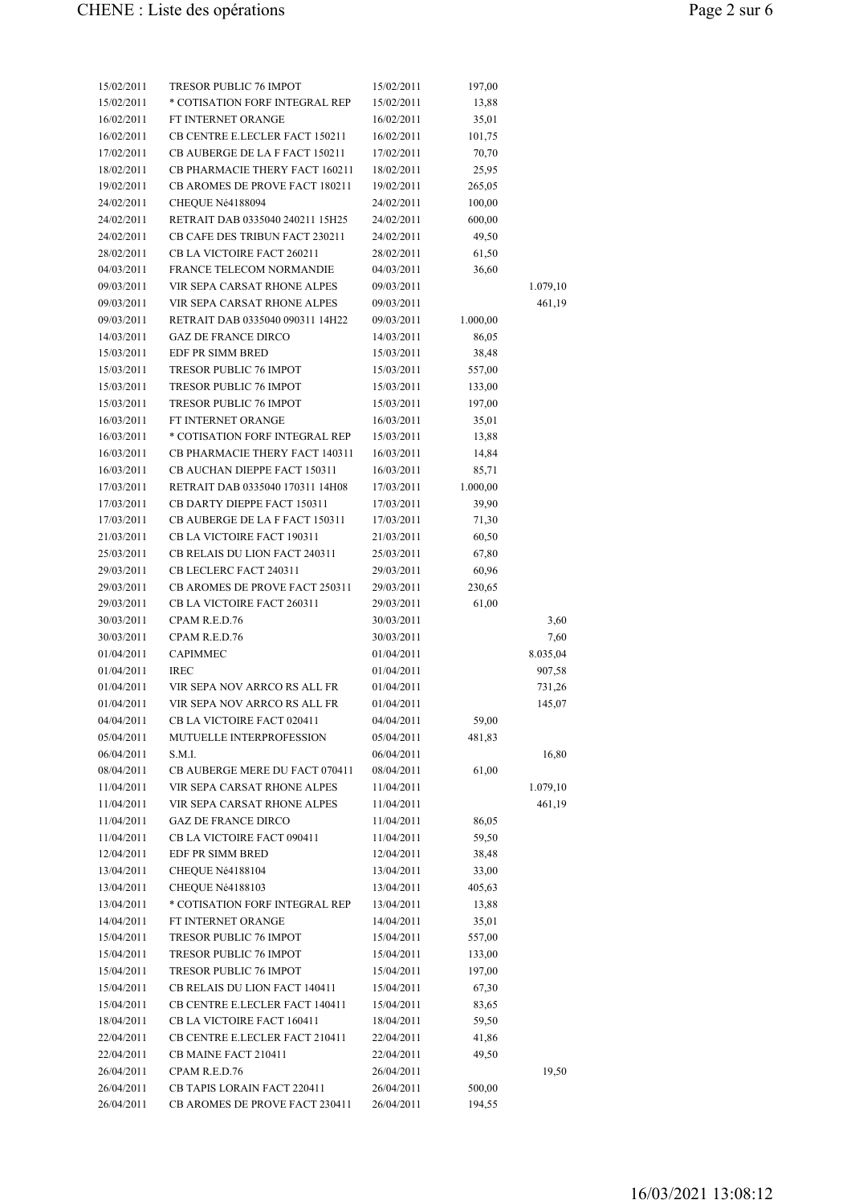| 15/02/2011 | TRESOR PUBLIC 76 IMPOT                | 15/02/2011 | 197,00   |          |
|------------|---------------------------------------|------------|----------|----------|
| 15/02/2011 | * COTISATION FORF INTEGRAL REP        | 15/02/2011 | 13,88    |          |
| 16/02/2011 | FT INTERNET ORANGE                    | 16/02/2011 | 35,01    |          |
| 16/02/2011 | CB CENTRE E.LECLER FACT 150211        | 16/02/2011 | 101,75   |          |
| 17/02/2011 | CB AUBERGE DE LA F FACT 150211        | 17/02/2011 | 70,70    |          |
| 18/02/2011 | CB PHARMACIE THERY FACT 160211        | 18/02/2011 | 25,95    |          |
| 19/02/2011 | CB AROMES DE PROVE FACT 180211        | 19/02/2011 | 265,05   |          |
| 24/02/2011 | CHEQUE Né4188094                      | 24/02/2011 | 100,00   |          |
| 24/02/2011 | RETRAIT DAB 0335040 240211 15H25      | 24/02/2011 | 600,00   |          |
| 24/02/2011 | <b>CB CAFE DES TRIBUN FACT 230211</b> | 24/02/2011 | 49,50    |          |
| 28/02/2011 | CB LA VICTOIRE FACT 260211            | 28/02/2011 | 61,50    |          |
| 04/03/2011 | <b>FRANCE TELECOM NORMANDIE</b>       | 04/03/2011 | 36,60    |          |
| 09/03/2011 | VIR SEPA CARSAT RHONE ALPES           | 09/03/2011 |          | 1.079,10 |
| 09/03/2011 | VIR SEPA CARSAT RHONE ALPES           | 09/03/2011 |          | 461,19   |
| 09/03/2011 | RETRAIT DAB 0335040 090311 14H22      | 09/03/2011 | 1.000,00 |          |
| 14/03/2011 | <b>GAZ DE FRANCE DIRCO</b>            | 14/03/2011 | 86,05    |          |
| 15/03/2011 | EDF PR SIMM BRED                      | 15/03/2011 | 38,48    |          |
| 15/03/2011 | <b>TRESOR PUBLIC 76 IMPOT</b>         | 15/03/2011 | 557,00   |          |
| 15/03/2011 | TRESOR PUBLIC 76 IMPOT                | 15/03/2011 | 133,00   |          |
| 15/03/2011 | <b>TRESOR PUBLIC 76 IMPOT</b>         | 15/03/2011 | 197,00   |          |
| 16/03/2011 | FT INTERNET ORANGE                    | 16/03/2011 | 35,01    |          |
| 16/03/2011 | * COTISATION FORF INTEGRAL REP        | 15/03/2011 | 13,88    |          |
| 16/03/2011 | CB PHARMACIE THERY FACT 140311        | 16/03/2011 | 14,84    |          |
| 16/03/2011 | CB AUCHAN DIEPPE FACT 150311          | 16/03/2011 | 85,71    |          |
| 17/03/2011 | RETRAIT DAB 0335040 170311 14H08      | 17/03/2011 | 1.000,00 |          |
| 17/03/2011 | CB DARTY DIEPPE FACT 150311           | 17/03/2011 | 39,90    |          |
| 17/03/2011 | CB AUBERGE DE LA F FACT 150311        | 17/03/2011 | 71,30    |          |
| 21/03/2011 | CB LA VICTOIRE FACT 190311            | 21/03/2011 | 60,50    |          |
| 25/03/2011 | CB RELAIS DU LION FACT 240311         | 25/03/2011 | 67,80    |          |
| 29/03/2011 | CB LECLERC FACT 240311                | 29/03/2011 | 60,96    |          |
| 29/03/2011 | CB AROMES DE PROVE FACT 250311        | 29/03/2011 | 230,65   |          |
| 29/03/2011 | CB LA VICTOIRE FACT 260311            | 29/03/2011 | 61,00    |          |
| 30/03/2011 | CPAM R.E.D.76                         | 30/03/2011 |          | 3,60     |
| 30/03/2011 | CPAM R.E.D.76                         | 30/03/2011 |          | 7,60     |
| 01/04/2011 | <b>CAPIMMEC</b>                       | 01/04/2011 |          | 8.035,04 |
| 01/04/2011 | <b>IREC</b>                           | 01/04/2011 |          | 907,58   |
| 01/04/2011 | VIR SEPA NOV ARRCO RS ALL FR          | 01/04/2011 |          | 731,26   |
| 01/04/2011 | VIR SEPA NOV ARRCO RS ALL FR          | 01/04/2011 |          | 145,07   |
| 04/04/2011 | CB LA VICTOIRE FACT 020411            | 04/04/2011 | 59,00    |          |
| 05/04/2011 | MUTUELLE INTERPROFESSION              | 05/04/2011 | 481,83   |          |
| 06/04/2011 | S.M.I.                                | 06/04/2011 |          | 16,80    |
| 08/04/2011 | CB AUBERGE MERE DU FACT 070411        | 08/04/2011 | 61,00    |          |
| 11/04/2011 | VIR SEPA CARSAT RHONE ALPES           | 11/04/2011 |          | 1.079,10 |
| 11/04/2011 | VIR SEPA CARSAT RHONE ALPES           | 11/04/2011 |          | 461,19   |
| 11/04/2011 | <b>GAZ DE FRANCE DIRCO</b>            | 11/04/2011 | 86,05    |          |
| 11/04/2011 | CB LA VICTOIRE FACT 090411            | 11/04/2011 | 59,50    |          |
| 12/04/2011 | EDF PR SIMM BRED                      | 12/04/2011 | 38,48    |          |
| 13/04/2011 | CHEQUE Né4188104                      | 13/04/2011 | 33,00    |          |
| 13/04/2011 | CHEQUE Né4188103                      | 13/04/2011 | 405,63   |          |
| 13/04/2011 | * COTISATION FORF INTEGRAL REP        | 13/04/2011 | 13,88    |          |
| 14/04/2011 | FT INTERNET ORANGE                    | 14/04/2011 | 35,01    |          |
| 15/04/2011 | TRESOR PUBLIC 76 IMPOT                | 15/04/2011 | 557,00   |          |
| 15/04/2011 | TRESOR PUBLIC 76 IMPOT                | 15/04/2011 | 133,00   |          |
| 15/04/2011 | TRESOR PUBLIC 76 IMPOT                | 15/04/2011 | 197,00   |          |
| 15/04/2011 | CB RELAIS DU LION FACT 140411         | 15/04/2011 | 67,30    |          |
| 15/04/2011 | CB CENTRE E.LECLER FACT 140411        | 15/04/2011 | 83,65    |          |
| 18/04/2011 | CB LA VICTOIRE FACT 160411            | 18/04/2011 | 59,50    |          |
| 22/04/2011 | CB CENTRE E.LECLER FACT 210411        | 22/04/2011 | 41,86    |          |
| 22/04/2011 | CB MAINE FACT 210411                  | 22/04/2011 | 49,50    |          |
| 26/04/2011 | CPAM R.E.D.76                         | 26/04/2011 |          | 19,50    |
| 26/04/2011 | CB TAPIS LORAIN FACT 220411           | 26/04/2011 | 500,00   |          |
| 26/04/2011 | CB AROMES DE PROVE FACT 230411        | 26/04/2011 | 194,55   |          |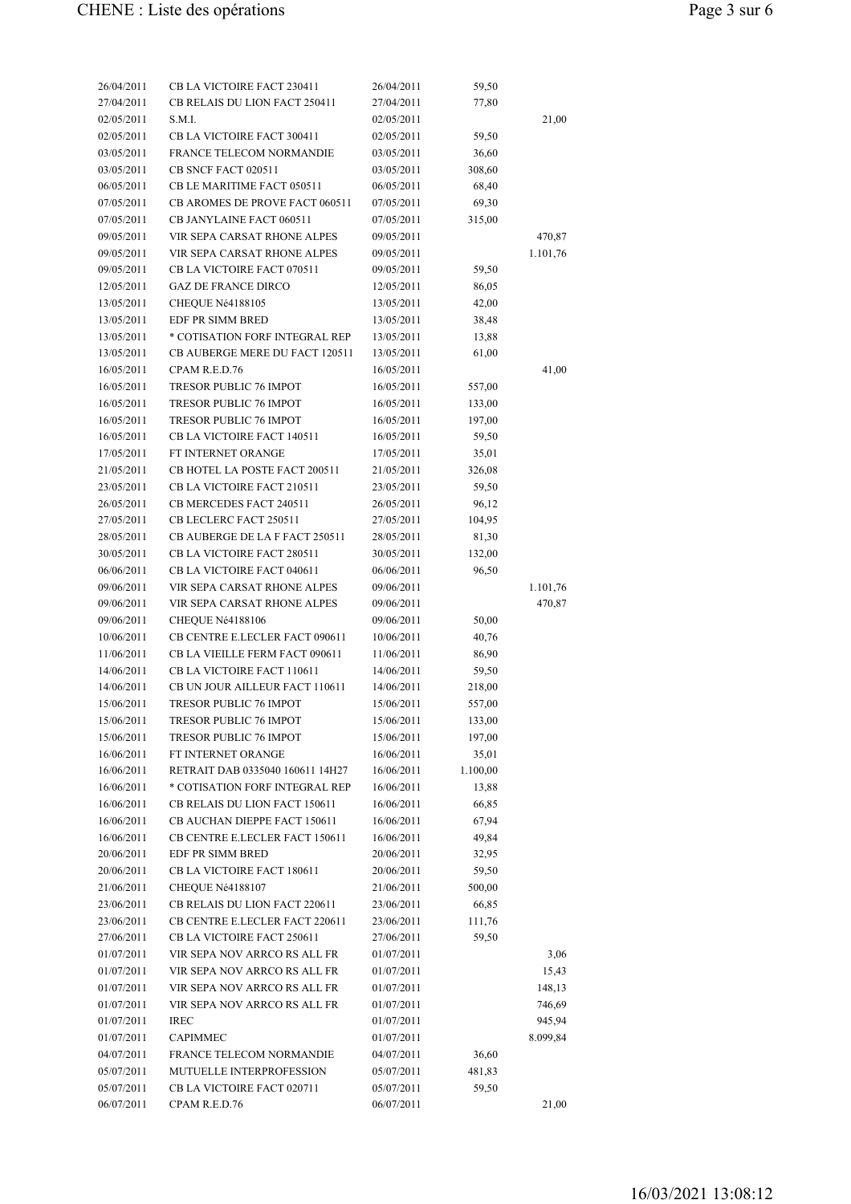| 26/04/2011 | CB LA VICTOIRE FACT 230411       | 26/04/2011 | 59,50    |          |
|------------|----------------------------------|------------|----------|----------|
| 27/04/2011 | CB RELAIS DU LION FACT 250411    | 27/04/2011 | 77,80    |          |
| 02/05/2011 | S.M.I.                           | 02/05/2011 |          | 21,00    |
| 02/05/2011 | CB LA VICTOIRE FACT 300411       | 02/05/2011 | 59,50    |          |
| 03/05/2011 | FRANCE TELECOM NORMANDIE         | 03/05/2011 | 36,60    |          |
| 03/05/2011 | CB SNCF FACT 020511              | 03/05/2011 | 308,60   |          |
| 06/05/2011 | CB LE MARITIME FACT 050511       | 06/05/2011 | 68,40    |          |
| 07/05/2011 | CB AROMES DE PROVE FACT 060511   | 07/05/2011 | 69,30    |          |
| 07/05/2011 | CB JANYLAINE FACT 060511         | 07/05/2011 | 315,00   |          |
| 09/05/2011 | VIR SEPA CARSAT RHONE ALPES      | 09/05/2011 |          | 470,87   |
| 09/05/2011 | VIR SEPA CARSAT RHONE ALPES      | 09/05/2011 |          | 1.101,76 |
| 09/05/2011 | CB LA VICTOIRE FACT 070511       | 09/05/2011 | 59,50    |          |
| 12/05/2011 | <b>GAZ DE FRANCE DIRCO</b>       | 12/05/2011 | 86,05    |          |
| 13/05/2011 | CHEQUE Né4188105                 | 13/05/2011 | 42,00    |          |
| 13/05/2011 | EDF PR SIMM BRED                 | 13/05/2011 | 38,48    |          |
| 13/05/2011 | * COTISATION FORF INTEGRAL REP   | 13/05/2011 | 13,88    |          |
| 13/05/2011 | CB AUBERGE MERE DU FACT 120511   | 13/05/2011 | 61,00    |          |
| 16/05/2011 | CPAM R.E.D.76                    | 16/05/2011 |          | 41,00    |
|            | <b>TRESOR PUBLIC 76 IMPOT</b>    |            |          |          |
| 16/05/2011 |                                  | 16/05/2011 | 557,00   |          |
| 16/05/2011 | TRESOR PUBLIC 76 IMPOT           | 16/05/2011 | 133,00   |          |
| 16/05/2011 | TRESOR PUBLIC 76 IMPOT           | 16/05/2011 | 197,00   |          |
| 16/05/2011 | CB LA VICTOIRE FACT 140511       | 16/05/2011 | 59,50    |          |
| 17/05/2011 | FT INTERNET ORANGE               | 17/05/2011 | 35,01    |          |
| 21/05/2011 | CB HOTEL LA POSTE FACT 200511    | 21/05/2011 | 326,08   |          |
| 23/05/2011 | CB LA VICTOIRE FACT 210511       | 23/05/2011 | 59,50    |          |
| 26/05/2011 | CB MERCEDES FACT 240511          | 26/05/2011 | 96,12    |          |
| 27/05/2011 | CB LECLERC FACT 250511           | 27/05/2011 | 104,95   |          |
| 28/05/2011 | CB AUBERGE DE LA F FACT 250511   | 28/05/2011 | 81,30    |          |
| 30/05/2011 | CB LA VICTOIRE FACT 280511       | 30/05/2011 | 132,00   |          |
| 06/06/2011 | CB LA VICTOIRE FACT 040611       | 06/06/2011 | 96,50    |          |
| 09/06/2011 | VIR SEPA CARSAT RHONE ALPES      | 09/06/2011 |          | 1.101,76 |
| 09/06/2011 | VIR SEPA CARSAT RHONE ALPES      | 09/06/2011 |          | 470,87   |
| 09/06/2011 | CHEQUE Né4188106                 | 09/06/2011 | 50,00    |          |
| 10/06/2011 | CB CENTRE E.LECLER FACT 090611   | 10/06/2011 | 40,76    |          |
| 11/06/2011 | CB LA VIEILLE FERM FACT 090611   | 11/06/2011 | 86,90    |          |
| 14/06/2011 | CB LA VICTOIRE FACT 110611       | 14/06/2011 | 59,50    |          |
| 14/06/2011 | CB UN JOUR AILLEUR FACT 110611   | 14/06/2011 | 218,00   |          |
| 15/06/2011 | <b>TRESOR PUBLIC 76 IMPOT</b>    | 15/06/2011 | 557,00   |          |
| 15/06/2011 | TRESOR PUBLIC 76 IMPOT           | 15/06/2011 | 133,00   |          |
| 15/06/2011 | TRESOR PUBLIC 76 IMPOT           | 15/06/2011 | 197,00   |          |
| 16/06/2011 | FT INTERNET ORANGE               | 16/06/2011 | 35,01    |          |
| 16/06/2011 | RETRAIT DAB 0335040 160611 14H27 | 16/06/2011 | 1.100,00 |          |
| 16/06/2011 | * COTISATION FORF INTEGRAL REP   | 16/06/2011 | 13,88    |          |
| 16/06/2011 | CB RELAIS DU LION FACT 150611    | 16/06/2011 | 66,85    |          |
| 16/06/2011 | CB AUCHAN DIEPPE FACT 150611     | 16/06/2011 | 67,94    |          |
| 16/06/2011 | CB CENTRE E.LECLER FACT 150611   | 16/06/2011 | 49,84    |          |
| 20/06/2011 | EDF PR SIMM BRED                 | 20/06/2011 | 32,95    |          |
| 20/06/2011 | CB LA VICTOIRE FACT 180611       | 20/06/2011 | 59,50    |          |
| 21/06/2011 | CHEQUE Né4188107                 | 21/06/2011 | 500,00   |          |
| 23/06/2011 | CB RELAIS DU LION FACT 220611    | 23/06/2011 | 66,85    |          |
| 23/06/2011 | CB CENTRE E.LECLER FACT 220611   | 23/06/2011 | 111,76   |          |
| 27/06/2011 | CB LA VICTOIRE FACT 250611       | 27/06/2011 | 59,50    |          |
| 01/07/2011 | VIR SEPA NOV ARRCO RS ALL FR     | 01/07/2011 |          | 3,06     |
| 01/07/2011 | VIR SEPA NOV ARRCO RS ALL FR     | 01/07/2011 |          | 15,43    |
| 01/07/2011 | VIR SEPA NOV ARRCO RS ALL FR     | 01/07/2011 |          | 148,13   |
| 01/07/2011 | VIR SEPA NOV ARRCO RS ALL FR     | 01/07/2011 |          | 746,69   |
| 01/07/2011 | <b>IREC</b>                      | 01/07/2011 |          | 945,94   |
| 01/07/2011 | <b>CAPIMMEC</b>                  | 01/07/2011 |          | 8.099,84 |
| 04/07/2011 | FRANCE TELECOM NORMANDIE         | 04/07/2011 | 36,60    |          |
| 05/07/2011 | MUTUELLE INTERPROFESSION         | 05/07/2011 | 481,83   |          |
| 05/07/2011 | CB LA VICTOIRE FACT 020711       | 05/07/2011 | 59,50    |          |
| 06/07/2011 | CPAM R.E.D.76                    | 06/07/2011 |          |          |
|            |                                  |            |          | 21,00    |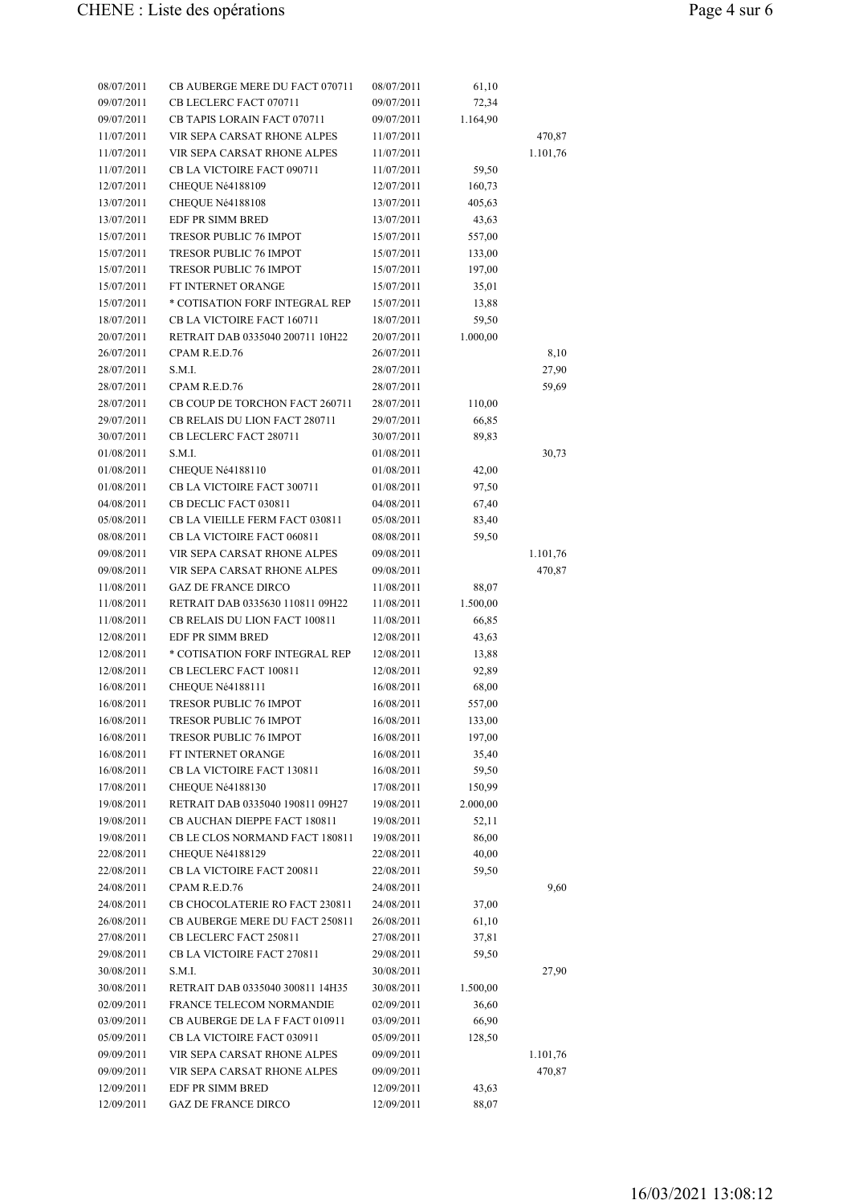| 08/07/2011 | CB AUBERGE MERE DU FACT 070711   | 08/07/2011 | 61,10    |          |
|------------|----------------------------------|------------|----------|----------|
| 09/07/2011 | CB LECLERC FACT 070711           | 09/07/2011 | 72,34    |          |
| 09/07/2011 | CB TAPIS LORAIN FACT 070711      | 09/07/2011 | 1.164,90 |          |
| 11/07/2011 | VIR SEPA CARSAT RHONE ALPES      | 11/07/2011 |          | 470,87   |
| 11/07/2011 | VIR SEPA CARSAT RHONE ALPES      | 11/07/2011 |          | 1.101,76 |
| 11/07/2011 | CB LA VICTOIRE FACT 090711       | 11/07/2011 | 59,50    |          |
| 12/07/2011 | CHEQUE Né4188109                 | 12/07/2011 | 160,73   |          |
| 13/07/2011 | CHEQUE Né4188108                 | 13/07/2011 | 405,63   |          |
| 13/07/2011 | EDF PR SIMM BRED                 | 13/07/2011 | 43,63    |          |
| 15/07/2011 | <b>TRESOR PUBLIC 76 IMPOT</b>    | 15/07/2011 | 557,00   |          |
| 15/07/2011 | <b>TRESOR PUBLIC 76 IMPOT</b>    | 15/07/2011 | 133,00   |          |
| 15/07/2011 | <b>TRESOR PUBLIC 76 IMPOT</b>    | 15/07/2011 | 197,00   |          |
| 15/07/2011 | FT INTERNET ORANGE               | 15/07/2011 | 35,01    |          |
| 15/07/2011 | * COTISATION FORF INTEGRAL REP   | 15/07/2011 | 13,88    |          |
| 18/07/2011 | CB LA VICTOIRE FACT 160711       | 18/07/2011 | 59,50    |          |
| 20/07/2011 | RETRAIT DAB 0335040 200711 10H22 | 20/07/2011 | 1.000,00 |          |
| 26/07/2011 | CPAM R.E.D.76                    | 26/07/2011 |          | 8,10     |
| 28/07/2011 | S.M.I.                           | 28/07/2011 |          | 27,90    |
| 28/07/2011 | CPAM R.E.D.76                    | 28/07/2011 |          | 59,69    |
| 28/07/2011 | CB COUP DE TORCHON FACT 260711   | 28/07/2011 | 110,00   |          |
| 29/07/2011 | CB RELAIS DU LION FACT 280711    | 29/07/2011 | 66,85    |          |
| 30/07/2011 | CB LECLERC FACT 280711           | 30/07/2011 | 89,83    |          |
| 01/08/2011 | S.M.I.                           | 01/08/2011 |          | 30,73    |
| 01/08/2011 | CHEQUE Né4188110                 | 01/08/2011 | 42,00    |          |
| 01/08/2011 | CB LA VICTOIRE FACT 300711       | 01/08/2011 | 97,50    |          |
| 04/08/2011 | CB DECLIC FACT 030811            | 04/08/2011 | 67,40    |          |
| 05/08/2011 | CB LA VIEILLE FERM FACT 030811   | 05/08/2011 | 83,40    |          |
| 08/08/2011 | CB LA VICTOIRE FACT 060811       | 08/08/2011 | 59,50    |          |
| 09/08/2011 | VIR SEPA CARSAT RHONE ALPES      | 09/08/2011 |          | 1.101,76 |
| 09/08/2011 | VIR SEPA CARSAT RHONE ALPES      | 09/08/2011 |          | 470,87   |
| 11/08/2011 | <b>GAZ DE FRANCE DIRCO</b>       | 11/08/2011 | 88,07    |          |
| 11/08/2011 | RETRAIT DAB 0335630 110811 09H22 | 11/08/2011 | 1.500,00 |          |
| 11/08/2011 | CB RELAIS DU LION FACT 100811    | 11/08/2011 | 66,85    |          |
| 12/08/2011 | <b>EDF PR SIMM BRED</b>          | 12/08/2011 | 43,63    |          |
| 12/08/2011 | * COTISATION FORF INTEGRAL REP   | 12/08/2011 | 13,88    |          |
| 12/08/2011 | CB LECLERC FACT 100811           | 12/08/2011 | 92,89    |          |
| 16/08/2011 | CHEQUE Né4188111                 | 16/08/2011 | 68,00    |          |
| 16/08/2011 | <b>TRESOR PUBLIC 76 IMPOT</b>    | 16/08/2011 | 557,00   |          |
| 16/08/2011 | TRESOR PUBLIC 76 IMPOT           | 16/08/2011 | 133,00   |          |
| 16/08/2011 | TRESOR PUBLIC 76 IMPOT           | 16/08/2011 | 197,00   |          |
| 16/08/2011 | FT INTERNET ORANGE               | 16/08/2011 | 35,40    |          |
| 16/08/2011 | CB LA VICTOIRE FACT 130811       | 16/08/2011 | 59,50    |          |
| 17/08/2011 | CHEQUE Né4188130                 | 17/08/2011 | 150,99   |          |
| 19/08/2011 | RETRAIT DAB 0335040 190811 09H27 | 19/08/2011 | 2.000,00 |          |
| 19/08/2011 | CB AUCHAN DIEPPE FACT 180811     | 19/08/2011 | 52,11    |          |
| 19/08/2011 | CB LE CLOS NORMAND FACT 180811   | 19/08/2011 | 86,00    |          |
| 22/08/2011 | CHEQUE Né4188129                 | 22/08/2011 | 40,00    |          |
| 22/08/2011 | CB LA VICTOIRE FACT 200811       | 22/08/2011 | 59,50    |          |
| 24/08/2011 | CPAM R.E.D.76                    | 24/08/2011 |          | 9,60     |
| 24/08/2011 | CB CHOCOLATERIE RO FACT 230811   | 24/08/2011 | 37,00    |          |
| 26/08/2011 | CB AUBERGE MERE DU FACT 250811   | 26/08/2011 | 61,10    |          |
| 27/08/2011 | CB LECLERC FACT 250811           | 27/08/2011 | 37,81    |          |
| 29/08/2011 | CB LA VICTOIRE FACT 270811       | 29/08/2011 | 59,50    |          |
| 30/08/2011 | S.M.I.                           | 30/08/2011 |          | 27,90    |
| 30/08/2011 | RETRAIT DAB 0335040 300811 14H35 | 30/08/2011 | 1.500,00 |          |
| 02/09/2011 | FRANCE TELECOM NORMANDIE         | 02/09/2011 | 36,60    |          |
| 03/09/2011 | CB AUBERGE DE LA F FACT 010911   | 03/09/2011 | 66,90    |          |
| 05/09/2011 | CB LA VICTOIRE FACT 030911       | 05/09/2011 | 128,50   |          |
| 09/09/2011 | VIR SEPA CARSAT RHONE ALPES      | 09/09/2011 |          | 1.101,76 |
| 09/09/2011 | VIR SEPA CARSAT RHONE ALPES      | 09/09/2011 |          | 470,87   |
| 12/09/2011 | EDF PR SIMM BRED                 | 12/09/2011 | 43,63    |          |
| 12/09/2011 | <b>GAZ DE FRANCE DIRCO</b>       | 12/09/2011 | 88,07    |          |
|            |                                  |            |          |          |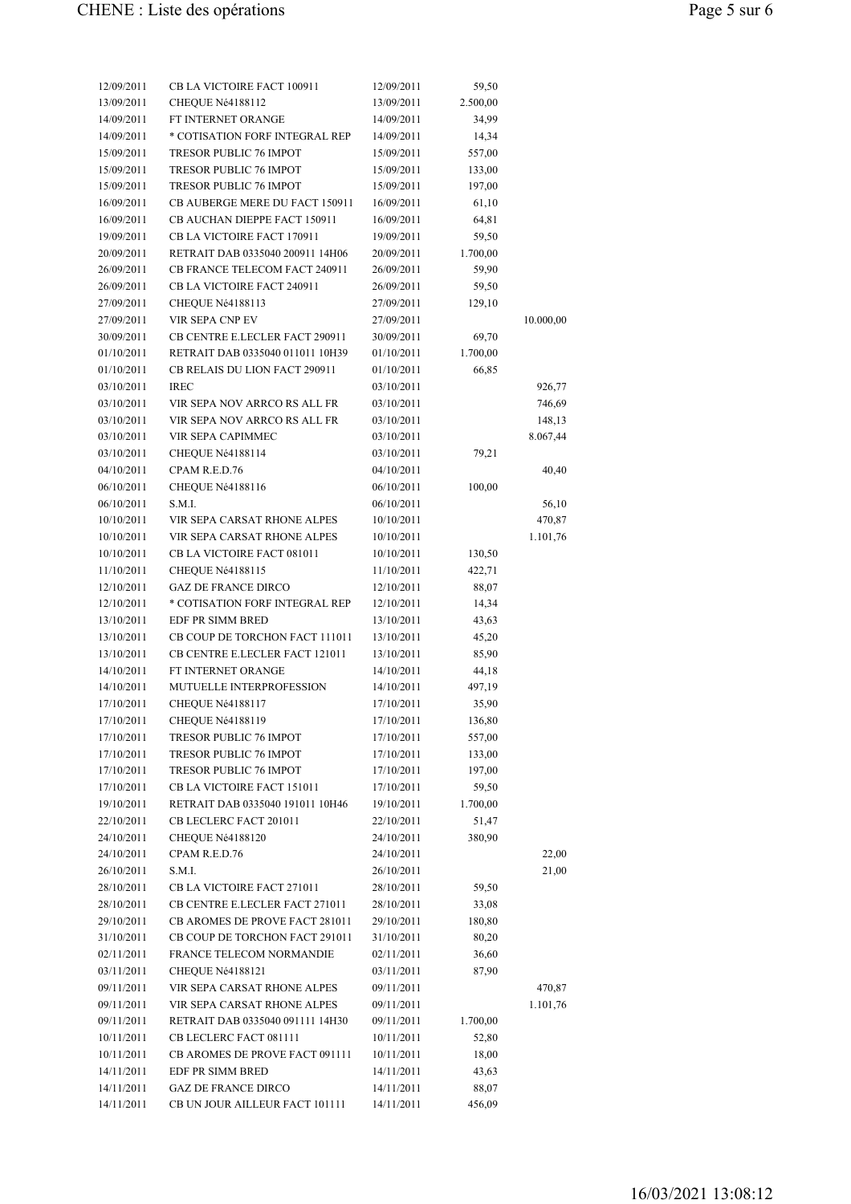| 12/09/2011 | CB LA VICTOIRE FACT 100911                         | 12/09/2011 | 59,50    |           |
|------------|----------------------------------------------------|------------|----------|-----------|
| 13/09/2011 | CHEQUE Né4188112                                   | 13/09/2011 | 2.500,00 |           |
| 14/09/2011 | FT INTERNET ORANGE                                 | 14/09/2011 | 34,99    |           |
| 14/09/2011 | * COTISATION FORF INTEGRAL REP                     | 14/09/2011 | 14,34    |           |
| 15/09/2011 | TRESOR PUBLIC 76 IMPOT                             | 15/09/2011 | 557,00   |           |
| 15/09/2011 | <b>TRESOR PUBLIC 76 IMPOT</b>                      | 15/09/2011 | 133,00   |           |
| 15/09/2011 | TRESOR PUBLIC 76 IMPOT                             | 15/09/2011 | 197,00   |           |
| 16/09/2011 | CB AUBERGE MERE DU FACT 150911                     | 16/09/2011 | 61,10    |           |
| 16/09/2011 | CB AUCHAN DIEPPE FACT 150911                       | 16/09/2011 | 64,81    |           |
| 19/09/2011 | CB LA VICTOIRE FACT 170911                         | 19/09/2011 | 59,50    |           |
| 20/09/2011 | RETRAIT DAB 0335040 200911 14H06                   | 20/09/2011 | 1.700,00 |           |
| 26/09/2011 | CB FRANCE TELECOM FACT 240911                      | 26/09/2011 | 59,90    |           |
| 26/09/2011 | CB LA VICTOIRE FACT 240911                         | 26/09/2011 | 59,50    |           |
| 27/09/2011 | CHEQUE Né4188113                                   | 27/09/2011 | 129,10   |           |
| 27/09/2011 | VIR SEPA CNP EV                                    | 27/09/2011 |          | 10.000,00 |
| 30/09/2011 | CB CENTRE E.LECLER FACT 290911                     | 30/09/2011 | 69,70    |           |
| 01/10/2011 | RETRAIT DAB 0335040 011011 10H39                   | 01/10/2011 | 1.700,00 |           |
| 01/10/2011 | CB RELAIS DU LION FACT 290911                      | 01/10/2011 | 66,85    |           |
| 03/10/2011 | <b>IREC</b>                                        | 03/10/2011 |          | 926,77    |
| 03/10/2011 | VIR SEPA NOV ARRCO RS ALL FR                       | 03/10/2011 |          | 746,69    |
| 03/10/2011 | VIR SEPA NOV ARRCO RS ALL FR                       | 03/10/2011 |          | 148,13    |
| 03/10/2011 | VIR SEPA CAPIMMEC                                  | 03/10/2011 |          | 8.067,44  |
| 03/10/2011 | CHEQUE Né4188114                                   | 03/10/2011 | 79,21    |           |
| 04/10/2011 | CPAM R.E.D.76                                      | 04/10/2011 |          | 40,40     |
| 06/10/2011 | CHEQUE Né4188116                                   | 06/10/2011 | 100,00   |           |
| 06/10/2011 | S.M.I.                                             | 06/10/2011 |          | 56,10     |
| 10/10/2011 | VIR SEPA CARSAT RHONE ALPES                        | 10/10/2011 |          | 470,87    |
| 10/10/2011 | VIR SEPA CARSAT RHONE ALPES                        | 10/10/2011 |          | 1.101,76  |
| 10/10/2011 | CB LA VICTOIRE FACT 081011                         | 10/10/2011 | 130,50   |           |
| 11/10/2011 | CHEQUE Né4188115                                   | 11/10/2011 | 422,71   |           |
| 12/10/2011 | <b>GAZ DE FRANCE DIRCO</b>                         | 12/10/2011 | 88,07    |           |
| 12/10/2011 | * COTISATION FORF INTEGRAL REP                     | 12/10/2011 | 14,34    |           |
| 13/10/2011 | EDF PR SIMM BRED                                   | 13/10/2011 | 43,63    |           |
| 13/10/2011 | CB COUP DE TORCHON FACT 111011                     | 13/10/2011 | 45,20    |           |
| 13/10/2011 | CB CENTRE E.LECLER FACT 121011                     | 13/10/2011 | 85,90    |           |
| 14/10/2011 | FT INTERNET ORANGE                                 | 14/10/2011 | 44,18    |           |
| 14/10/2011 | MUTUELLE INTERPROFESSION                           | 14/10/2011 | 497,19   |           |
| 17/10/2011 | CHEQUE Né4188117                                   | 17/10/2011 | 35,90    |           |
| 17/10/2011 | CHEQUE Né4188119                                   | 17/10/2011 | 136,80   |           |
| 17/10/2011 | TRESOR PUBLIC 76 IMPOT                             | 17/10/2011 | 557,00   |           |
| 17/10/2011 | TRESOR PUBLIC 76 IMPOT                             | 17/10/2011 | 133,00   |           |
| 17/10/2011 | TRESOR PUBLIC 76 IMPOT                             | 17/10/2011 | 197,00   |           |
| 17/10/2011 | CB LA VICTOIRE FACT 151011                         | 17/10/2011 | 59,50    |           |
| 19/10/2011 | RETRAIT DAB 0335040 191011 10H46                   | 19/10/2011 | 1.700,00 |           |
| 22/10/2011 | CB LECLERC FACT 201011                             | 22/10/2011 | 51,47    |           |
| 24/10/2011 | CHEQUE Né4188120                                   | 24/10/2011 | 380,90   |           |
| 24/10/2011 | CPAM R.E.D.76                                      | 24/10/2011 |          | 22,00     |
| 26/10/2011 | S.M.I.                                             | 26/10/2011 |          | 21,00     |
| 28/10/2011 | CB LA VICTOIRE FACT 271011                         | 28/10/2011 | 59,50    |           |
| 28/10/2011 | CB CENTRE E.LECLER FACT 271011                     | 28/10/2011 | 33,08    |           |
| 29/10/2011 | CB AROMES DE PROVE FACT 281011                     | 29/10/2011 | 180,80   |           |
| 31/10/2011 | CB COUP DE TORCHON FACT 291011                     | 31/10/2011 | 80,20    |           |
| 02/11/2011 | FRANCE TELECOM NORMANDIE                           | 02/11/2011 | 36,60    |           |
| 03/11/2011 | CHEQUE Né4188121                                   | 03/11/2011 | 87,90    |           |
|            | VIR SEPA CARSAT RHONE ALPES                        |            |          |           |
| 09/11/2011 | VIR SEPA CARSAT RHONE ALPES                        | 09/11/2011 |          | 470,87    |
| 09/11/2011 |                                                    | 09/11/2011 |          | 1.101,76  |
| 09/11/2011 | RETRAIT DAB 0335040 091111 14H30                   | 09/11/2011 | 1.700,00 |           |
| 10/11/2011 | CB LECLERC FACT 081111                             | 10/11/2011 | 52,80    |           |
| 10/11/2011 | CB AROMES DE PROVE FACT 091111<br>EDF PR SIMM BRED | 10/11/2011 | 18,00    |           |
| 14/11/2011 |                                                    | 14/11/2011 | 43,63    |           |
| 14/11/2011 | <b>GAZ DE FRANCE DIRCO</b>                         | 14/11/2011 | 88,07    |           |
| 14/11/2011 | CB UN JOUR AILLEUR FACT 101111                     | 14/11/2011 | 456,09   |           |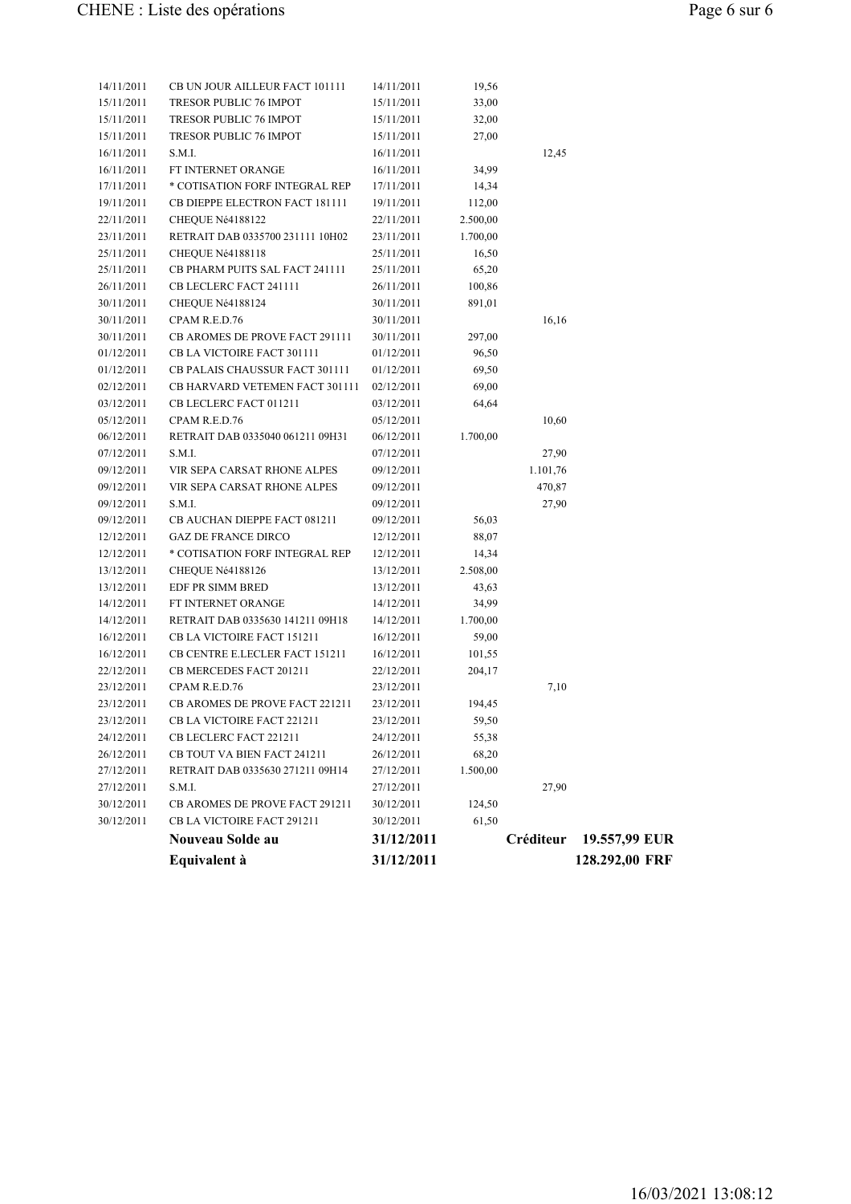|                          | Equivalent à                           | 31/12/2011               |                |           | 128.292,00 FRF |
|--------------------------|----------------------------------------|--------------------------|----------------|-----------|----------------|
|                          | Nouveau Solde au                       | 31/12/2011               |                | Créditeur | 19.557,99 EUR  |
| 30/12/2011               | CB LA VICTOIRE FACT 291211             | 30/12/2011               | 61,50          |           |                |
| 30/12/2011               | CB AROMES DE PROVE FACT 291211         | 30/12/2011               | 124,50         |           |                |
| 27/12/2011               | S.M.I.                                 | 27/12/2011               |                | 27,90     |                |
| 27/12/2011               | RETRAIT DAB 0335630 271211 09H14       | 27/12/2011               | 1.500,00       |           |                |
| 26/12/2011               | CB TOUT VA BIEN FACT 241211            | 26/12/2011               | 68,20          |           |                |
| 24/12/2011               | CB LECLERC FACT 221211                 | 24/12/2011               | 55,38          |           |                |
| 23/12/2011               | CB LA VICTOIRE FACT 221211             | 23/12/2011               | 59,50          |           |                |
| 23/12/2011               | <b>CB AROMES DE PROVE FACT 221211</b>  | 23/12/2011               | 194,45         |           |                |
| 23/12/2011               | CPAM R.E.D.76                          | 23/12/2011               |                | 7,10      |                |
| 22/12/2011               | CB MERCEDES FACT 201211                | 22/12/2011               | 204,17         |           |                |
| 16/12/2011               | CB CENTRE E.LECLER FACT 151211         | 16/12/2011               | 101,55         |           |                |
| 16/12/2011               | CB LA VICTOIRE FACT 151211             | 16/12/2011               | 59,00          |           |                |
| 14/12/2011               | RETRAIT DAB 0335630 141211 09H18       | 14/12/2011               | 1.700,00       |           |                |
| 14/12/2011               | FT INTERNET ORANGE                     | 14/12/2011               | 34,99          |           |                |
| 13/12/2011               | EDF PR SIMM BRED                       | 13/12/2011               | 43,63          |           |                |
| 13/12/2011               | CHEQUE Né4188126                       | 13/12/2011               | 2.508,00       |           |                |
| 12/12/2011               | * COTISATION FORF INTEGRAL REP         | 12/12/2011               | 88,07<br>14,34 |           |                |
| 09/12/2011<br>12/12/2011 | <b>GAZ DE FRANCE DIRCO</b>             | 09/12/2011<br>12/12/2011 | 56,03          |           |                |
| 09/12/2011               | S.M.I.<br>CB AUCHAN DIEPPE FACT 081211 | 09/12/2011               |                | 27,90     |                |
| 09/12/2011               | VIR SEPA CARSAT RHONE ALPES            | 09/12/2011               |                | 470,87    |                |
| 09/12/2011               | VIR SEPA CARSAT RHONE ALPES            | 09/12/2011               |                | 1.101,76  |                |
| 07/12/2011               | S.M.I.                                 | 07/12/2011               |                | 27,90     |                |
| 06/12/2011               | RETRAIT DAB 0335040 061211 09H31       | 06/12/2011               | 1.700,00       |           |                |
| 05/12/2011               | CPAM R.E.D.76                          | 05/12/2011               |                | 10,60     |                |
| 03/12/2011               | CB LECLERC FACT 011211                 | 03/12/2011               | 64,64          |           |                |
| 02/12/2011               | CB HARVARD VETEMEN FACT 301111         | 02/12/2011               | 69,00          |           |                |
| 01/12/2011               | CB PALAIS CHAUSSUR FACT 301111         | 01/12/2011               | 69,50          |           |                |
| 01/12/2011               | CB LA VICTOIRE FACT 301111             | 01/12/2011               | 96,50          |           |                |
| 30/11/2011               | CB AROMES DE PROVE FACT 291111         | 30/11/2011               | 297,00         |           |                |
| 30/11/2011               | CPAM R.E.D.76                          | 30/11/2011               |                | 16,16     |                |
| 30/11/2011               | CHEQUE Né4188124                       | 30/11/2011               | 891,01         |           |                |
| 26/11/2011               | CB LECLERC FACT 241111                 | 26/11/2011               | 100,86         |           |                |
| 25/11/2011               | CB PHARM PUITS SAL FACT 241111         | 25/11/2011               | 65,20          |           |                |
| 25/11/2011               | CHEQUE Né4188118                       | 25/11/2011               | 16,50          |           |                |
| 23/11/2011               | RETRAIT DAB 0335700 231111 10H02       | 23/11/2011               | 1.700,00       |           |                |
| 22/11/2011               | CHEQUE Né4188122                       | 22/11/2011               | 2.500,00       |           |                |
| 19/11/2011               | CB DIEPPE ELECTRON FACT 181111         | 19/11/2011               | 112,00         |           |                |
| 17/11/2011               | * COTISATION FORF INTEGRAL REP         | 17/11/2011               | 14,34          |           |                |
| 16/11/2011               | FT INTERNET ORANGE                     | 16/11/2011               | 34,99          |           |                |
| 16/11/2011               | S.M.I.                                 | 16/11/2011               |                | 12,45     |                |
| 15/11/2011               | TRESOR PUBLIC 76 IMPOT                 | 15/11/2011               | 27,00          |           |                |
| 15/11/2011               | TRESOR PUBLIC 76 IMPOT                 | 15/11/2011               | 32,00          |           |                |
| 15/11/2011               | TRESOR PUBLIC 76 IMPOT                 | 15/11/2011               | 33,00          |           |                |
| 14/11/2011               | CB UN JOUR AILLEUR FACT 101111         | 14/11/2011               | 19,56          |           |                |
|                          |                                        |                          |                |           |                |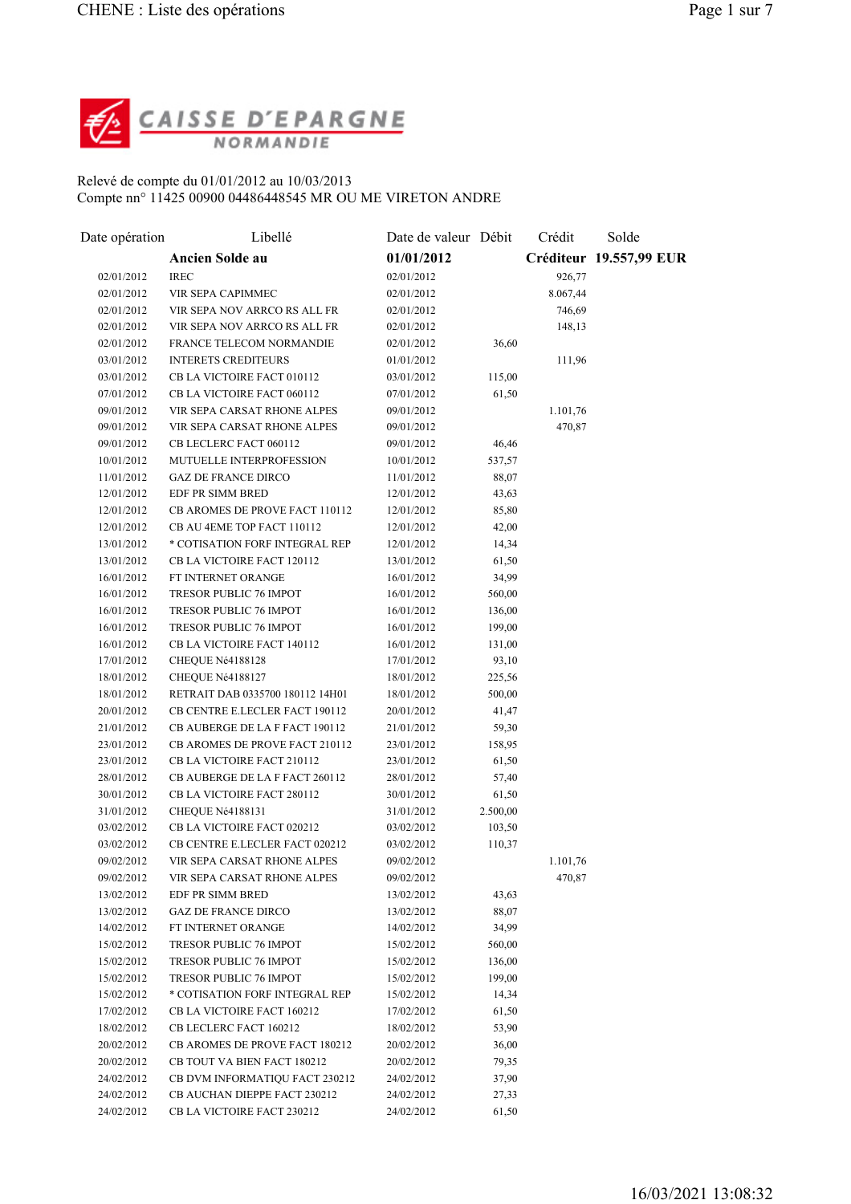

## Relevé de compte du 01/01/2012 au 10/03/2013 Compte nn° 11425 00900 04486448545 MR OU ME VIRETON ANDRE

| Date opération | Libellé                                                      | Date de valeur Débit     |                 | Crédit   | Solde                   |
|----------------|--------------------------------------------------------------|--------------------------|-----------------|----------|-------------------------|
|                | Ancien Solde au                                              | 01/01/2012               |                 |          | Créditeur 19.557,99 EUR |
| 02/01/2012     | <b>IREC</b>                                                  | 02/01/2012               |                 | 926,77   |                         |
| 02/01/2012     | VIR SEPA CAPIMMEC                                            | 02/01/2012               |                 | 8.067,44 |                         |
| 02/01/2012     | VIR SEPA NOV ARRCO RS ALL FR                                 | 02/01/2012               |                 | 746,69   |                         |
| 02/01/2012     | VIR SEPA NOV ARRCO RS ALL FR                                 | 02/01/2012               |                 | 148,13   |                         |
| 02/01/2012     | FRANCE TELECOM NORMANDIE                                     | 02/01/2012               | 36,60           |          |                         |
| 03/01/2012     | <b>INTERETS CREDITEURS</b>                                   | 01/01/2012               |                 | 111,96   |                         |
| 03/01/2012     | CB LA VICTOIRE FACT 010112                                   | 03/01/2012               | 115,00          |          |                         |
| 07/01/2012     | CB LA VICTOIRE FACT 060112                                   | 07/01/2012               | 61,50           |          |                         |
| 09/01/2012     | VIR SEPA CARSAT RHONE ALPES                                  | 09/01/2012               |                 | 1.101,76 |                         |
| 09/01/2012     | VIR SEPA CARSAT RHONE ALPES                                  | 09/01/2012               |                 | 470,87   |                         |
| 09/01/2012     | CB LECLERC FACT 060112                                       | 09/01/2012               | 46,46           |          |                         |
| 10/01/2012     | MUTUELLE INTERPROFESSION                                     | 10/01/2012               | 537,57          |          |                         |
| 11/01/2012     | <b>GAZ DE FRANCE DIRCO</b>                                   | 11/01/2012               | 88,07           |          |                         |
| 12/01/2012     | EDF PR SIMM BRED                                             | 12/01/2012               | 43,63           |          |                         |
| 12/01/2012     | CB AROMES DE PROVE FACT 110112                               | 12/01/2012               | 85,80           |          |                         |
| 12/01/2012     | CB AU 4EME TOP FACT 110112                                   | 12/01/2012               | 42,00           |          |                         |
| 13/01/2012     | * COTISATION FORF INTEGRAL REP                               | 12/01/2012               | 14,34           |          |                         |
| 13/01/2012     | CB LA VICTOIRE FACT 120112                                   | 13/01/2012               | 61,50           |          |                         |
| 16/01/2012     | FT INTERNET ORANGE                                           | 16/01/2012               | 34,99           |          |                         |
| 16/01/2012     | TRESOR PUBLIC 76 IMPOT                                       | 16/01/2012               | 560,00          |          |                         |
| 16/01/2012     | TRESOR PUBLIC 76 IMPOT                                       | 16/01/2012               | 136,00          |          |                         |
| 16/01/2012     | TRESOR PUBLIC 76 IMPOT                                       | 16/01/2012               | 199,00          |          |                         |
| 16/01/2012     | CB LA VICTOIRE FACT 140112                                   | 16/01/2012               |                 |          |                         |
| 17/01/2012     | CHEQUE Né4188128                                             |                          | 131,00          |          |                         |
| 18/01/2012     |                                                              | 17/01/2012               | 93,10<br>225,56 |          |                         |
| 18/01/2012     | CHEQUE Né4188127<br>RETRAIT DAB 0335700 180112 14H01         | 18/01/2012<br>18/01/2012 | 500,00          |          |                         |
| 20/01/2012     | CB CENTRE E.LECLER FACT 190112                               | 20/01/2012               | 41,47           |          |                         |
| 21/01/2012     | CB AUBERGE DE LA F FACT 190112                               |                          |                 |          |                         |
|                |                                                              | 21/01/2012               | 59,30           |          |                         |
| 23/01/2012     | CB AROMES DE PROVE FACT 210112                               | 23/01/2012               | 158,95          |          |                         |
| 23/01/2012     | CB LA VICTOIRE FACT 210112                                   | 23/01/2012               | 61,50           |          |                         |
| 28/01/2012     | CB AUBERGE DE LA F FACT 260112                               | 28/01/2012               | 57,40           |          |                         |
| 30/01/2012     | CB LA VICTOIRE FACT 280112                                   | 30/01/2012               | 61,50           |          |                         |
| 31/01/2012     | CHEQUE Né4188131                                             | 31/01/2012               | 2.500,00        |          |                         |
| 03/02/2012     | CB LA VICTOIRE FACT 020212<br>CB CENTRE E.LECLER FACT 020212 | 03/02/2012               | 103,50          |          |                         |
| 03/02/2012     |                                                              | 03/02/2012               | 110,37          |          |                         |
| 09/02/2012     | VIR SEPA CARSAT RHONE ALPES                                  | 09/02/2012               |                 | 1.101,76 |                         |
| 09/02/2012     | VIR SEPA CARSAT RHONE ALPES                                  | 09/02/2012               |                 | 470,87   |                         |
| 13/02/2012     | EDF PR SIMM BRED                                             | 13/02/2012               | 43,63           |          |                         |
| 13/02/2012     | <b>GAZ DE FRANCE DIRCO</b>                                   | 13/02/2012               | 88,07           |          |                         |
| 14/02/2012     | FT INTERNET ORANGE                                           | 14/02/2012               | 34,99           |          |                         |
| 15/02/2012     | TRESOR PUBLIC 76 IMPOT                                       | 15/02/2012               | 560,00          |          |                         |
| 15/02/2012     | TRESOR PUBLIC 76 IMPOT                                       | 15/02/2012               | 136,00          |          |                         |
| 15/02/2012     | TRESOR PUBLIC 76 IMPOT                                       | 15/02/2012               | 199,00          |          |                         |
| 15/02/2012     | * COTISATION FORF INTEGRAL REP                               | 15/02/2012               | 14,34           |          |                         |
| 17/02/2012     | CB LA VICTOIRE FACT 160212                                   | 17/02/2012               | 61,50           |          |                         |
| 18/02/2012     | CB LECLERC FACT 160212                                       | 18/02/2012               | 53,90           |          |                         |
| 20/02/2012     | CB AROMES DE PROVE FACT 180212                               | 20/02/2012               | 36,00           |          |                         |
| 20/02/2012     | CB TOUT VA BIEN FACT 180212                                  | 20/02/2012               | 79,35           |          |                         |
| 24/02/2012     | CB DVM INFORMATIQU FACT 230212                               | 24/02/2012               | 37,90           |          |                         |
| 24/02/2012     | CB AUCHAN DIEPPE FACT 230212                                 | 24/02/2012               | 27,33           |          |                         |
| 24/02/2012     | CB LA VICTOIRE FACT 230212                                   | 24/02/2012               | 61,50           |          |                         |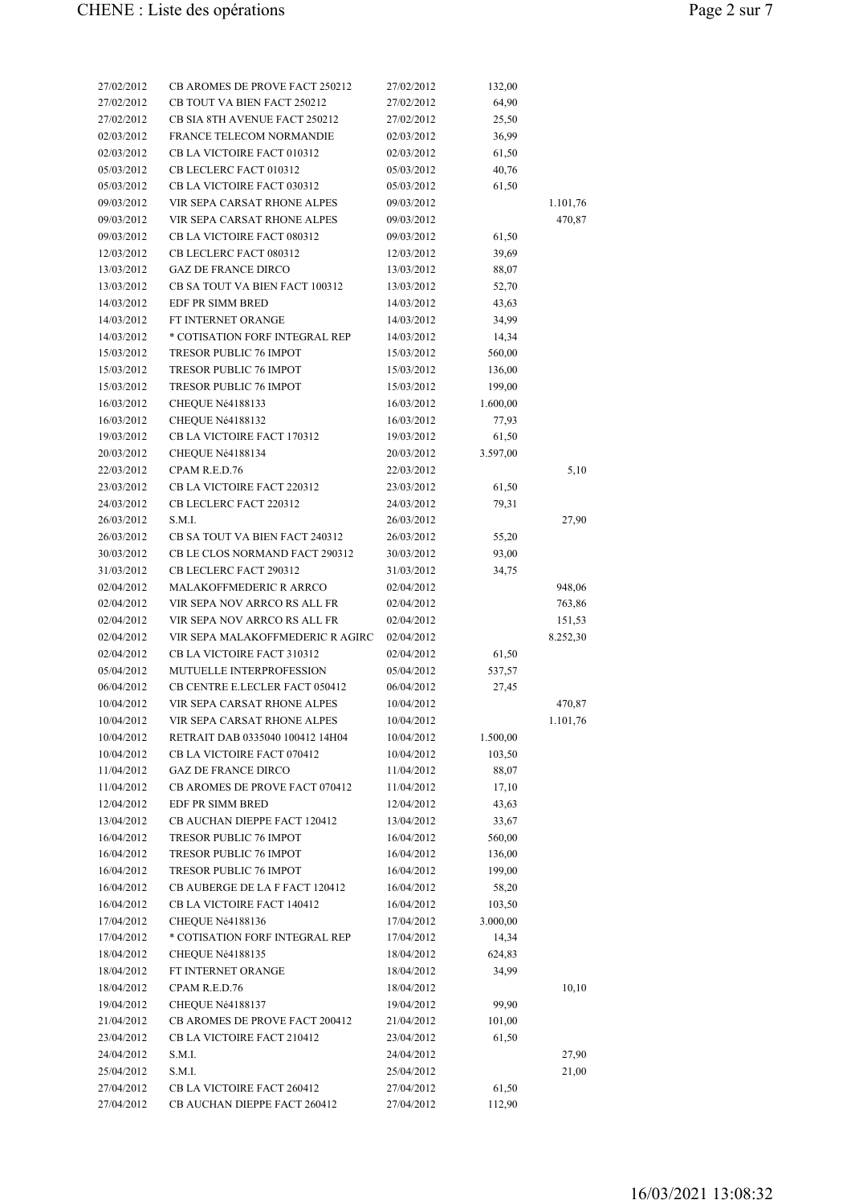| 27/02/2012 | CB AROMES DE PROVE FACT 250212       | 27/02/2012 | 132,00   |          |
|------------|--------------------------------------|------------|----------|----------|
| 27/02/2012 | CB TOUT VA BIEN FACT 250212          | 27/02/2012 | 64,90    |          |
| 27/02/2012 | <b>CB SIA 8TH AVENUE FACT 250212</b> | 27/02/2012 | 25,50    |          |
| 02/03/2012 | FRANCE TELECOM NORMANDIE             | 02/03/2012 | 36,99    |          |
| 02/03/2012 | CB LA VICTOIRE FACT 010312           | 02/03/2012 | 61,50    |          |
| 05/03/2012 | CB LECLERC FACT 010312               | 05/03/2012 | 40,76    |          |
| 05/03/2012 | CB LA VICTOIRE FACT 030312           | 05/03/2012 | 61,50    |          |
| 09/03/2012 | VIR SEPA CARSAT RHONE ALPES          | 09/03/2012 |          | 1.101,76 |
| 09/03/2012 | VIR SEPA CARSAT RHONE ALPES          | 09/03/2012 |          | 470,87   |
| 09/03/2012 | CB LA VICTOIRE FACT 080312           | 09/03/2012 | 61,50    |          |
| 12/03/2012 | CB LECLERC FACT 080312               | 12/03/2012 | 39,69    |          |
| 13/03/2012 | <b>GAZ DE FRANCE DIRCO</b>           | 13/03/2012 | 88,07    |          |
| 13/03/2012 | CB SA TOUT VA BIEN FACT 100312       | 13/03/2012 | 52,70    |          |
| 14/03/2012 | EDF PR SIMM BRED                     | 14/03/2012 | 43,63    |          |
| 14/03/2012 | FT INTERNET ORANGE                   | 14/03/2012 | 34,99    |          |
| 14/03/2012 | * COTISATION FORF INTEGRAL REP       | 14/03/2012 | 14,34    |          |
| 15/03/2012 | <b>TRESOR PUBLIC 76 IMPOT</b>        | 15/03/2012 | 560,00   |          |
| 15/03/2012 | <b>TRESOR PUBLIC 76 IMPOT</b>        | 15/03/2012 | 136,00   |          |
| 15/03/2012 | TRESOR PUBLIC 76 IMPOT               | 15/03/2012 | 199,00   |          |
| 16/03/2012 | CHEQUE Né4188133                     | 16/03/2012 | 1.600,00 |          |
| 16/03/2012 | CHEQUE Né4188132                     | 16/03/2012 | 77,93    |          |
| 19/03/2012 | CB LA VICTOIRE FACT 170312           | 19/03/2012 | 61,50    |          |
| 20/03/2012 | CHEQUE Né4188134                     | 20/03/2012 | 3.597,00 |          |
| 22/03/2012 | CPAM R.E.D.76                        | 22/03/2012 |          | 5,10     |
| 23/03/2012 | CB LA VICTOIRE FACT 220312           | 23/03/2012 | 61,50    |          |
| 24/03/2012 | CB LECLERC FACT 220312               | 24/03/2012 | 79,31    |          |
| 26/03/2012 | S.M.I.                               | 26/03/2012 |          | 27,90    |
| 26/03/2012 | CB SA TOUT VA BIEN FACT 240312       | 26/03/2012 | 55,20    |          |
| 30/03/2012 | CB LE CLOS NORMAND FACT 290312       | 30/03/2012 | 93,00    |          |
| 31/03/2012 | CB LECLERC FACT 290312               | 31/03/2012 | 34,75    |          |
| 02/04/2012 | <b>MALAKOFFMEDERIC R ARRCO</b>       | 02/04/2012 |          | 948,06   |
| 02/04/2012 | VIR SEPA NOV ARRCO RS ALL FR         | 02/04/2012 |          | 763,86   |
| 02/04/2012 | VIR SEPA NOV ARRCO RS ALL FR         | 02/04/2012 |          | 151,53   |
| 02/04/2012 | VIR SEPA MALAKOFFMEDERIC R AGIRC     | 02/04/2012 |          | 8.252,30 |
| 02/04/2012 | CB LA VICTOIRE FACT 310312           | 02/04/2012 | 61,50    |          |
| 05/04/2012 | MUTUELLE INTERPROFESSION             | 05/04/2012 | 537,57   |          |
| 06/04/2012 | CB CENTRE E.LECLER FACT 050412       | 06/04/2012 | 27,45    |          |
| 10/04/2012 | VIR SEPA CARSAT RHONE ALPES          | 10/04/2012 |          | 470,87   |
| 10/04/2012 | VIR SEPA CARSAT RHONE ALPES          | 10/04/2012 |          | 1.101,76 |
| 10/04/2012 | RETRAIT DAB 0335040 100412 14H04     | 10/04/2012 | 1.500,00 |          |
| 10/04/2012 | CB LA VICTOIRE FACT 070412           | 10/04/2012 | 103,50   |          |
| 11/04/2012 | <b>GAZ DE FRANCE DIRCO</b>           | 11/04/2012 | 88,07    |          |
| 11/04/2012 | CB AROMES DE PROVE FACT 070412       | 11/04/2012 | 17,10    |          |
| 12/04/2012 | EDF PR SIMM BRED                     | 12/04/2012 | 43,63    |          |
| 13/04/2012 | CB AUCHAN DIEPPE FACT 120412         | 13/04/2012 | 33,67    |          |
| 16/04/2012 | TRESOR PUBLIC 76 IMPOT               | 16/04/2012 |          |          |
|            | TRESOR PUBLIC 76 IMPOT               |            | 560,00   |          |
| 16/04/2012 |                                      | 16/04/2012 | 136,00   |          |
| 16/04/2012 | TRESOR PUBLIC 76 IMPOT               | 16/04/2012 | 199,00   |          |
| 16/04/2012 | CB AUBERGE DE LA F FACT 120412       | 16/04/2012 | 58,20    |          |
| 16/04/2012 | CB LA VICTOIRE FACT 140412           | 16/04/2012 | 103,50   |          |
| 17/04/2012 | CHEQUE Né4188136                     | 17/04/2012 | 3.000,00 |          |
| 17/04/2012 | * COTISATION FORF INTEGRAL REP       | 17/04/2012 | 14,34    |          |
| 18/04/2012 | CHEQUE Né4188135                     | 18/04/2012 | 624,83   |          |
| 18/04/2012 | FT INTERNET ORANGE                   | 18/04/2012 | 34,99    |          |
| 18/04/2012 | CPAM R.E.D.76                        | 18/04/2012 |          | 10,10    |
| 19/04/2012 | CHEQUE Né4188137                     | 19/04/2012 | 99,90    |          |
| 21/04/2012 | CB AROMES DE PROVE FACT 200412       | 21/04/2012 | 101,00   |          |
| 23/04/2012 | CB LA VICTOIRE FACT 210412           | 23/04/2012 | 61,50    |          |
| 24/04/2012 | S.M.I.                               | 24/04/2012 |          | 27,90    |
| 25/04/2012 | S.M.I.                               | 25/04/2012 |          | 21,00    |
| 27/04/2012 | CB LA VICTOIRE FACT 260412           | 27/04/2012 | 61,50    |          |
| 27/04/2012 | CB AUCHAN DIEPPE FACT 260412         | 27/04/2012 | 112,90   |          |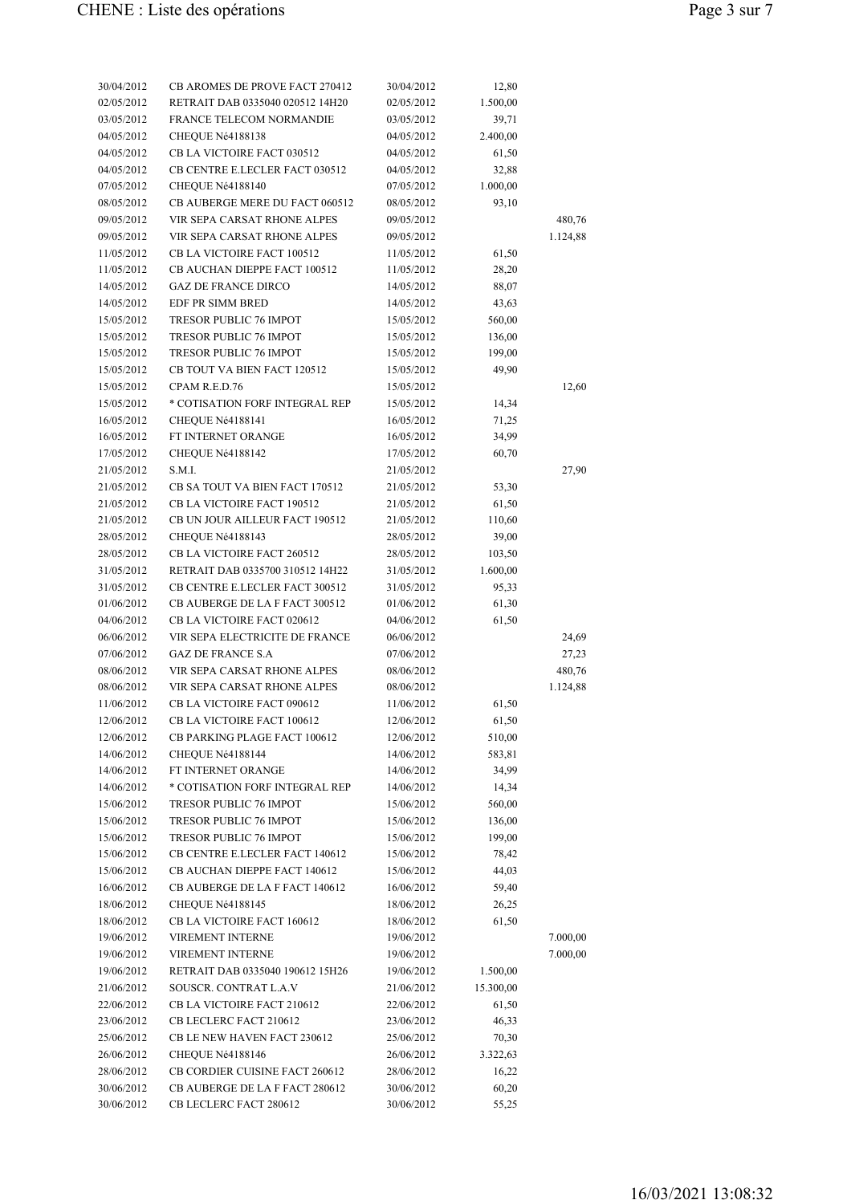| 30/04/2012 | <b>CB AROMES DE PROVE FACT 270412</b> | 30/04/2012 | 12,80     |          |
|------------|---------------------------------------|------------|-----------|----------|
| 02/05/2012 | RETRAIT DAB 0335040 020512 14H20      | 02/05/2012 | 1.500,00  |          |
| 03/05/2012 | FRANCE TELECOM NORMANDIE              | 03/05/2012 | 39,71     |          |
| 04/05/2012 | CHEQUE Né4188138                      | 04/05/2012 | 2.400,00  |          |
| 04/05/2012 | CB LA VICTOIRE FACT 030512            | 04/05/2012 | 61,50     |          |
| 04/05/2012 | CB CENTRE E.LECLER FACT 030512        | 04/05/2012 | 32,88     |          |
| 07/05/2012 | CHEQUE Né4188140                      | 07/05/2012 | 1.000,00  |          |
| 08/05/2012 | CB AUBERGE MERE DU FACT 060512        | 08/05/2012 | 93,10     |          |
| 09/05/2012 | VIR SEPA CARSAT RHONE ALPES           | 09/05/2012 |           | 480,76   |
| 09/05/2012 | VIR SEPA CARSAT RHONE ALPES           | 09/05/2012 |           | 1.124,88 |
| 11/05/2012 | CB LA VICTOIRE FACT 100512            | 11/05/2012 | 61,50     |          |
| 11/05/2012 | CB AUCHAN DIEPPE FACT 100512          | 11/05/2012 | 28,20     |          |
| 14/05/2012 | <b>GAZ DE FRANCE DIRCO</b>            | 14/05/2012 | 88,07     |          |
| 14/05/2012 | EDF PR SIMM BRED                      | 14/05/2012 | 43,63     |          |
| 15/05/2012 | TRESOR PUBLIC 76 IMPOT                | 15/05/2012 | 560,00    |          |
| 15/05/2012 | TRESOR PUBLIC 76 IMPOT                | 15/05/2012 | 136,00    |          |
| 15/05/2012 | <b>TRESOR PUBLIC 76 IMPOT</b>         | 15/05/2012 | 199,00    |          |
| 15/05/2012 | CB TOUT VA BIEN FACT 120512           | 15/05/2012 | 49,90     |          |
| 15/05/2012 | CPAM R.E.D.76                         | 15/05/2012 |           | 12,60    |
| 15/05/2012 | * COTISATION FORF INTEGRAL REP        | 15/05/2012 | 14,34     |          |
| 16/05/2012 | CHEQUE Né4188141                      | 16/05/2012 | 71,25     |          |
| 16/05/2012 | FT INTERNET ORANGE                    | 16/05/2012 | 34,99     |          |
| 17/05/2012 | CHEQUE Né4188142                      | 17/05/2012 | 60,70     |          |
|            | S.M.I.                                |            |           | 27,90    |
| 21/05/2012 |                                       | 21/05/2012 |           |          |
| 21/05/2012 | CB SA TOUT VA BIEN FACT 170512        | 21/05/2012 | 53,30     |          |
| 21/05/2012 | CB LA VICTOIRE FACT 190512            | 21/05/2012 | 61,50     |          |
| 21/05/2012 | CB UN JOUR AILLEUR FACT 190512        | 21/05/2012 | 110,60    |          |
| 28/05/2012 | CHEQUE Né4188143                      | 28/05/2012 | 39,00     |          |
| 28/05/2012 | CB LA VICTOIRE FACT 260512            | 28/05/2012 | 103,50    |          |
| 31/05/2012 | RETRAIT DAB 0335700 310512 14H22      | 31/05/2012 | 1.600,00  |          |
| 31/05/2012 | CB CENTRE E.LECLER FACT 300512        | 31/05/2012 | 95,33     |          |
| 01/06/2012 | CB AUBERGE DE LA F FACT 300512        | 01/06/2012 | 61,30     |          |
| 04/06/2012 | CB LA VICTOIRE FACT 020612            | 04/06/2012 | 61,50     |          |
| 06/06/2012 | VIR SEPA ELECTRICITE DE FRANCE        | 06/06/2012 |           | 24,69    |
| 07/06/2012 | <b>GAZ DE FRANCE S.A</b>              | 07/06/2012 |           | 27,23    |
| 08/06/2012 | VIR SEPA CARSAT RHONE ALPES           | 08/06/2012 |           | 480,76   |
| 08/06/2012 | VIR SEPA CARSAT RHONE ALPES           | 08/06/2012 |           | 1.124,88 |
| 11/06/2012 | CB LA VICTOIRE FACT 090612            | 11/06/2012 | 61,50     |          |
| 12/06/2012 | CB LA VICTOIRE FACT 100612            | 12/06/2012 | 61,50     |          |
| 12/06/2012 | CB PARKING PLAGE FACT 100612          | 12/06/2012 | 510,00    |          |
| 14/06/2012 | CHEQUE Né4188144                      | 14/06/2012 | 583,81    |          |
| 14/06/2012 | FT INTERNET ORANGE                    | 14/06/2012 | 34,99     |          |
| 14/06/2012 | * COTISATION FORF INTEGRAL REP        | 14/06/2012 | 14,34     |          |
| 15/06/2012 | TRESOR PUBLIC 76 IMPOT                | 15/06/2012 | 560,00    |          |
| 15/06/2012 | TRESOR PUBLIC 76 IMPOT                | 15/06/2012 | 136,00    |          |
| 15/06/2012 | <b>TRESOR PUBLIC 76 IMPOT</b>         | 15/06/2012 | 199,00    |          |
| 15/06/2012 | CB CENTRE E.LECLER FACT 140612        | 15/06/2012 | 78,42     |          |
| 15/06/2012 | CB AUCHAN DIEPPE FACT 140612          | 15/06/2012 | 44,03     |          |
| 16/06/2012 | CB AUBERGE DE LA F FACT 140612        | 16/06/2012 | 59,40     |          |
| 18/06/2012 | CHEQUE Né4188145                      | 18/06/2012 | 26,25     |          |
| 18/06/2012 | CB LA VICTOIRE FACT 160612            | 18/06/2012 | 61,50     |          |
| 19/06/2012 | VIREMENT INTERNE                      | 19/06/2012 |           | 7.000,00 |
| 19/06/2012 | VIREMENT INTERNE                      | 19/06/2012 |           | 7.000,00 |
| 19/06/2012 | RETRAIT DAB 0335040 190612 15H26      | 19/06/2012 | 1.500,00  |          |
| 21/06/2012 | SOUSCR. CONTRAT L.A.V                 | 21/06/2012 | 15.300,00 |          |
|            |                                       |            |           |          |
| 22/06/2012 | CB LA VICTOIRE FACT 210612            | 22/06/2012 | 61,50     |          |
| 23/06/2012 | CB LECLERC FACT 210612                | 23/06/2012 | 46,33     |          |
| 25/06/2012 | CB LE NEW HAVEN FACT 230612           | 25/06/2012 | 70,30     |          |
| 26/06/2012 | CHEQUE Né4188146                      | 26/06/2012 | 3.322,63  |          |
| 28/06/2012 | CB CORDIER CUISINE FACT 260612        | 28/06/2012 | 16,22     |          |
| 30/06/2012 | CB AUBERGE DE LA F FACT 280612        | 30/06/2012 | 60,20     |          |
| 30/06/2012 | CB LECLERC FACT 280612                | 30/06/2012 | 55,25     |          |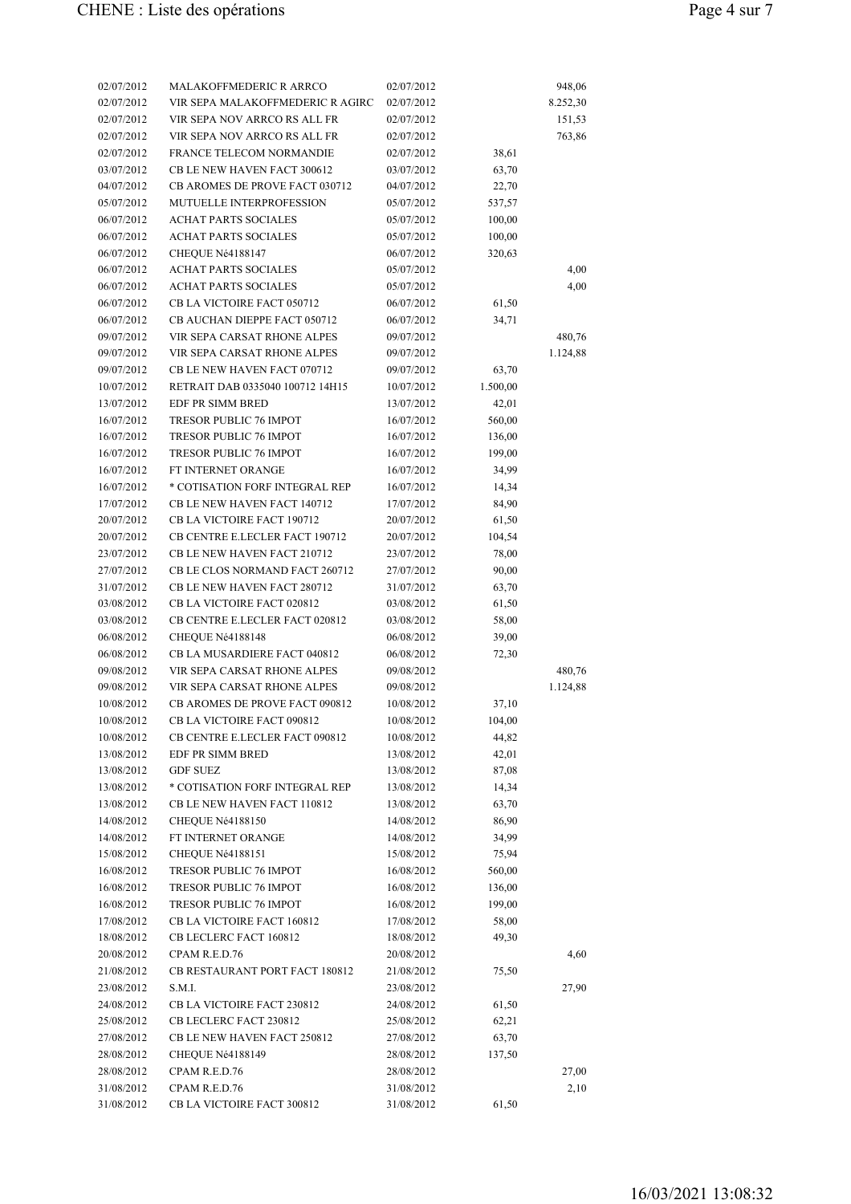| 02/07/2012               | <b>MALAKOFFMEDERIC R ARRCO</b>                       | 02/07/2012               |                  | 948,06   |
|--------------------------|------------------------------------------------------|--------------------------|------------------|----------|
| 02/07/2012               | VIR SEPA MALAKOFFMEDERIC R AGIRC                     | 02/07/2012               |                  | 8.252,30 |
| 02/07/2012               | VIR SEPA NOV ARRCO RS ALL FR                         | 02/07/2012               |                  | 151,53   |
| 02/07/2012               | VIR SEPA NOV ARRCO RS ALL FR                         | 02/07/2012               |                  | 763,86   |
| 02/07/2012               | <b>FRANCE TELECOM NORMANDIE</b>                      | 02/07/2012               | 38,61            |          |
| 03/07/2012               | CB LE NEW HAVEN FACT 300612                          | 03/07/2012               | 63,70            |          |
| 04/07/2012               | CB AROMES DE PROVE FACT 030712                       | 04/07/2012               | 22,70            |          |
| 05/07/2012               | MUTUELLE INTERPROFESSION                             | 05/07/2012               | 537,57           |          |
| 06/07/2012               | <b>ACHAT PARTS SOCIALES</b>                          | 05/07/2012               | 100,00           |          |
| 06/07/2012               | <b>ACHAT PARTS SOCIALES</b>                          | 05/07/2012               | 100,00           |          |
| 06/07/2012               | CHEQUE Né4188147                                     | 06/07/2012               | 320,63           |          |
| 06/07/2012               | <b>ACHAT PARTS SOCIALES</b>                          | 05/07/2012               |                  | 4,00     |
| 06/07/2012               | <b>ACHAT PARTS SOCIALES</b>                          | 05/07/2012               |                  | 4,00     |
| 06/07/2012               | CB LA VICTOIRE FACT 050712                           | 06/07/2012               | 61,50            |          |
| 06/07/2012               | CB AUCHAN DIEPPE FACT 050712                         | 06/07/2012               | 34,71            |          |
| 09/07/2012               | VIR SEPA CARSAT RHONE ALPES                          | 09/07/2012               |                  | 480,76   |
| 09/07/2012               | VIR SEPA CARSAT RHONE ALPES                          | 09/07/2012               |                  | 1.124,88 |
| 09/07/2012               | CB LE NEW HAVEN FACT 070712                          | 09/07/2012               | 63,70            |          |
| 10/07/2012               | RETRAIT DAB 0335040 100712 14H15                     | 10/07/2012               | 1.500,00         |          |
| 13/07/2012               | EDF PR SIMM BRED                                     | 13/07/2012               | 42,01            |          |
| 16/07/2012               | <b>TRESOR PUBLIC 76 IMPOT</b>                        | 16/07/2012               | 560,00           |          |
| 16/07/2012               | TRESOR PUBLIC 76 IMPOT                               | 16/07/2012               | 136,00           |          |
| 16/07/2012               | TRESOR PUBLIC 76 IMPOT                               | 16/07/2012               | 199,00           |          |
| 16/07/2012               | FT INTERNET ORANGE                                   | 16/07/2012               | 34,99            |          |
| 16/07/2012               | * COTISATION FORF INTEGRAL REP                       | 16/07/2012               | 14,34            |          |
| 17/07/2012               | CB LE NEW HAVEN FACT 140712                          | 17/07/2012               | 84,90            |          |
| 20/07/2012               | CB LA VICTOIRE FACT 190712                           | 20/07/2012               | 61,50            |          |
| 20/07/2012               | CB CENTRE E.LECLER FACT 190712                       | 20/07/2012               | 104,54           |          |
| 23/07/2012               | CB LE NEW HAVEN FACT 210712                          | 23/07/2012               | 78,00            |          |
| 27/07/2012               | CB LE CLOS NORMAND FACT 260712                       | 27/07/2012               | 90,00            |          |
| 31/07/2012               | <b>CB LE NEW HAVEN FACT 280712</b>                   | 31/07/2012               | 63,70            |          |
| 03/08/2012               | CB LA VICTOIRE FACT 020812                           | 03/08/2012               | 61,50            |          |
| 03/08/2012               | CB CENTRE E.LECLER FACT 020812                       | 03/08/2012               | 58,00            |          |
| 06/08/2012               | CHEQUE Né4188148                                     | 06/08/2012               | 39,00            |          |
| 06/08/2012               | CB LA MUSARDIERE FACT 040812                         | 06/08/2012               | 72,30            |          |
| 09/08/2012               | VIR SEPA CARSAT RHONE ALPES                          | 09/08/2012               |                  | 480,76   |
| 09/08/2012               | VIR SEPA CARSAT RHONE ALPES                          | 09/08/2012               |                  | 1.124,88 |
| 10/08/2012               | CB AROMES DE PROVE FACT 090812                       | 10/08/2012               | 37,10            |          |
| 10/08/2012               | CB LA VICTOIRE FACT 090812                           | 10/08/2012               | 104,00           |          |
| 10/08/2012               | CB CENTRE E.LECLER FACT 090812                       | 10/08/2012               | 44,82            |          |
| 13/08/2012               | EDF PR SIMM BRED                                     | 13/08/2012               | 42,01            |          |
| 13/08/2012               | <b>GDF SUEZ</b>                                      | 13/08/2012               | 87,08            |          |
| 13/08/2012               | * COTISATION FORF INTEGRAL REP                       | 13/08/2012               | 14,34            |          |
| 13/08/2012               | CB LE NEW HAVEN FACT 110812                          | 13/08/2012               | 63,70            |          |
| 14/08/2012               | CHEQUE Né4188150                                     | 14/08/2012               | 86,90            |          |
| 14/08/2012               | FT INTERNET ORANGE                                   | 14/08/2012               | 34,99            |          |
| 15/08/2012               | CHEQUE Né4188151                                     | 15/08/2012               | 75,94            |          |
|                          | <b>TRESOR PUBLIC 76 IMPOT</b>                        |                          |                  |          |
| 16/08/2012<br>16/08/2012 | TRESOR PUBLIC 76 IMPOT                               | 16/08/2012<br>16/08/2012 | 560,00<br>136,00 |          |
| 16/08/2012               | TRESOR PUBLIC 76 IMPOT                               | 16/08/2012               | 199,00           |          |
|                          |                                                      |                          |                  |          |
| 17/08/2012<br>18/08/2012 | CB LA VICTOIRE FACT 160812<br>CB LECLERC FACT 160812 | 17/08/2012<br>18/08/2012 | 58,00<br>49,30   |          |
|                          | CPAM R.E.D.76                                        |                          |                  |          |
| 20/08/2012<br>21/08/2012 | <b>CB RESTAURANT PORT FACT 180812</b>                | 20/08/2012<br>21/08/2012 | 75,50            | 4,60     |
|                          | S.M.I.                                               |                          |                  |          |
| 23/08/2012               |                                                      | 23/08/2012               |                  | 27,90    |
| 24/08/2012               | CB LA VICTOIRE FACT 230812                           | 24/08/2012               | 61,50            |          |
| 25/08/2012               | CB LECLERC FACT 230812                               | 25/08/2012               | 62,21            |          |
| 27/08/2012               | CB LE NEW HAVEN FACT 250812                          | 27/08/2012               | 63,70            |          |
| 28/08/2012               | CHEQUE Né4188149                                     | 28/08/2012               | 137,50           |          |
| 28/08/2012               | CPAM R.E.D.76                                        | 28/08/2012               |                  | 27,00    |
| 31/08/2012               | CPAM R.E.D.76                                        | 31/08/2012               |                  | 2,10     |
| 31/08/2012               | CB LA VICTOIRE FACT 300812                           | 31/08/2012               | 61,50            |          |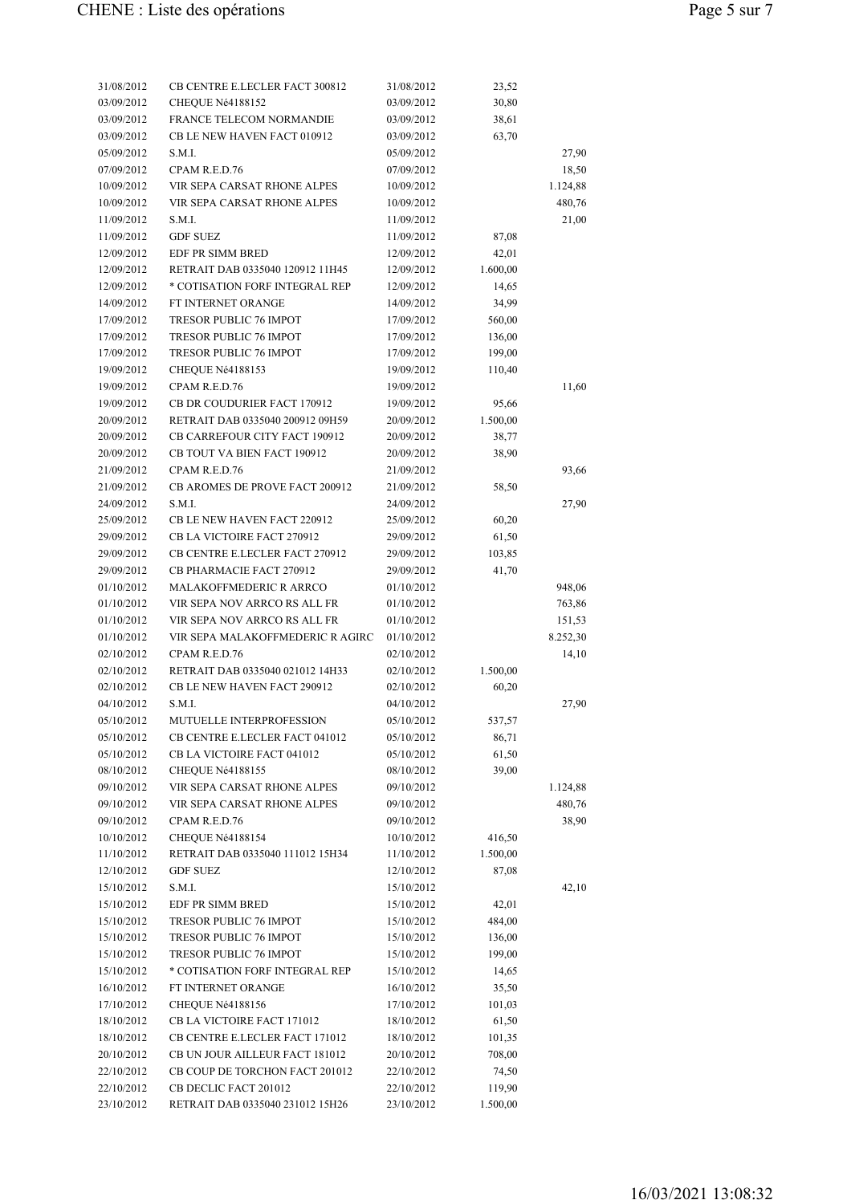| 31/08/2012               | CB CENTRE E.LECLER FACT 300812   | 31/08/2012               | 23,52    |                   |
|--------------------------|----------------------------------|--------------------------|----------|-------------------|
| 03/09/2012               | CHEQUE Né4188152                 | 03/09/2012               | 30,80    |                   |
| 03/09/2012               | <b>FRANCE TELECOM NORMANDIE</b>  | 03/09/2012               | 38,61    |                   |
| 03/09/2012               | CB LE NEW HAVEN FACT 010912      | 03/09/2012               | 63,70    |                   |
| 05/09/2012               | S.M.I.                           | 05/09/2012               |          | 27,90             |
| 07/09/2012               | CPAM R.E.D.76                    | 07/09/2012               |          | 18,50             |
| 10/09/2012               | VIR SEPA CARSAT RHONE ALPES      | 10/09/2012               |          | 1.124,88          |
| 10/09/2012               | VIR SEPA CARSAT RHONE ALPES      | 10/09/2012               |          | 480,76            |
| 11/09/2012               | S.M.I.                           | 11/09/2012               |          | 21,00             |
| 11/09/2012               | <b>GDF SUEZ</b>                  | 11/09/2012               | 87,08    |                   |
| 12/09/2012               | EDF PR SIMM BRED                 | 12/09/2012               | 42,01    |                   |
| 12/09/2012               | RETRAIT DAB 0335040 120912 11H45 | 12/09/2012               | 1.600,00 |                   |
| 12/09/2012               | * COTISATION FORF INTEGRAL REP   | 12/09/2012               | 14,65    |                   |
| 14/09/2012               | FT INTERNET ORANGE               | 14/09/2012               | 34,99    |                   |
| 17/09/2012               | <b>TRESOR PUBLIC 76 IMPOT</b>    | 17/09/2012               | 560,00   |                   |
| 17/09/2012               | TRESOR PUBLIC 76 IMPOT           | 17/09/2012               | 136,00   |                   |
| 17/09/2012               | <b>TRESOR PUBLIC 76 IMPOT</b>    | 17/09/2012               | 199,00   |                   |
| 19/09/2012               | CHEQUE Né4188153                 | 19/09/2012               | 110,40   |                   |
| 19/09/2012               | CPAM R.E.D.76                    | 19/09/2012               |          | 11,60             |
| 19/09/2012               | CB DR COUDURIER FACT 170912      | 19/09/2012               | 95,66    |                   |
| 20/09/2012               | RETRAIT DAB 0335040 200912 09H59 | 20/09/2012               | 1.500,00 |                   |
| 20/09/2012               | CB CARREFOUR CITY FACT 190912    | 20/09/2012               | 38,77    |                   |
| 20/09/2012               | CB TOUT VA BIEN FACT 190912      | 20/09/2012               | 38,90    |                   |
| 21/09/2012               | CPAM R.E.D.76                    | 21/09/2012               |          | 93,66             |
| 21/09/2012               | CB AROMES DE PROVE FACT 200912   | 21/09/2012               | 58,50    |                   |
| 24/09/2012               | S.M.I.                           | 24/09/2012               |          | 27,90             |
| 25/09/2012               | CB LE NEW HAVEN FACT 220912      | 25/09/2012               | 60,20    |                   |
| 29/09/2012               | CB LA VICTOIRE FACT 270912       | 29/09/2012               | 61,50    |                   |
| 29/09/2012               | CB CENTRE E.LECLER FACT 270912   | 29/09/2012               | 103,85   |                   |
| 29/09/2012               | CB PHARMACIE FACT 270912         | 29/09/2012               | 41,70    |                   |
| 01/10/2012               | MALAKOFFMEDERIC R ARRCO          | 01/10/2012               |          | 948,06            |
| 01/10/2012               | VIR SEPA NOV ARRCO RS ALL FR     | 01/10/2012               |          | 763,86            |
| 01/10/2012               | VIR SEPA NOV ARRCO RS ALL FR     | 01/10/2012               |          |                   |
|                          | VIR SEPA MALAKOFFMEDERIC R AGIRC |                          |          | 151,53            |
| 01/10/2012<br>02/10/2012 | CPAM R.E.D.76                    | 01/10/2012               |          | 8.252,30<br>14,10 |
|                          | RETRAIT DAB 0335040 021012 14H33 | 02/10/2012               |          |                   |
| 02/10/2012               |                                  | 02/10/2012               | 1.500,00 |                   |
| 02/10/2012               | CB LE NEW HAVEN FACT 290912      | 02/10/2012               | 60,20    |                   |
| 04/10/2012               | S.M.I.                           | 04/10/2012<br>05/10/2012 |          | 27,90             |
| 05/10/2012               | MUTUELLE INTERPROFESSION         |                          | 537,57   |                   |
| 05/10/2012               | CB CENTRE E.LECLER FACT 041012   | 05/10/2012               | 86,71    |                   |
| 05/10/2012               | CB LA VICTOIRE FACT 041012       | 05/10/2012               | 61,50    |                   |
| 08/10/2012               | CHEQUE Né4188155                 | 08/10/2012               | 39,00    |                   |
| 09/10/2012               | VIR SEPA CARSAT RHONE ALPES      | 09/10/2012               |          | 1.124,88          |
| 09/10/2012               | VIR SEPA CARSAT RHONE ALPES      | 09/10/2012               |          | 480,76            |
| 09/10/2012               | CPAM R.E.D.76                    | 09/10/2012               |          | 38,90             |
| 10/10/2012               | CHEQUE Né4188154                 | 10/10/2012               | 416,50   |                   |
| 11/10/2012               | RETRAIT DAB 0335040 111012 15H34 | 11/10/2012               | 1.500,00 |                   |
| 12/10/2012               | <b>GDF SUEZ</b>                  | 12/10/2012               | 87,08    |                   |
| 15/10/2012               | S.M.I.                           | 15/10/2012               |          | 42,10             |
| 15/10/2012               | EDF PR SIMM BRED                 | 15/10/2012               | 42,01    |                   |
| 15/10/2012               | TRESOR PUBLIC 76 IMPOT           | 15/10/2012               | 484,00   |                   |
| 15/10/2012               | TRESOR PUBLIC 76 IMPOT           | 15/10/2012               | 136,00   |                   |
| 15/10/2012               | TRESOR PUBLIC 76 IMPOT           | 15/10/2012               | 199,00   |                   |
| 15/10/2012               | * COTISATION FORF INTEGRAL REP   | 15/10/2012               | 14,65    |                   |
| 16/10/2012               | FT INTERNET ORANGE               | 16/10/2012               | 35,50    |                   |
| 17/10/2012               | CHEQUE Né4188156                 | 17/10/2012               | 101,03   |                   |
| 18/10/2012               | CB LA VICTOIRE FACT 171012       | 18/10/2012               | 61,50    |                   |
| 18/10/2012               | CB CENTRE E.LECLER FACT 171012   | 18/10/2012               | 101,35   |                   |
| 20/10/2012               | CB UN JOUR AILLEUR FACT 181012   | 20/10/2012               | 708,00   |                   |
| 22/10/2012               | CB COUP DE TORCHON FACT 201012   | 22/10/2012               | 74,50    |                   |
| 22/10/2012               | CB DECLIC FACT 201012            | 22/10/2012               | 119,90   |                   |
| 23/10/2012               | RETRAIT DAB 0335040 231012 15H26 | 23/10/2012               | 1.500,00 |                   |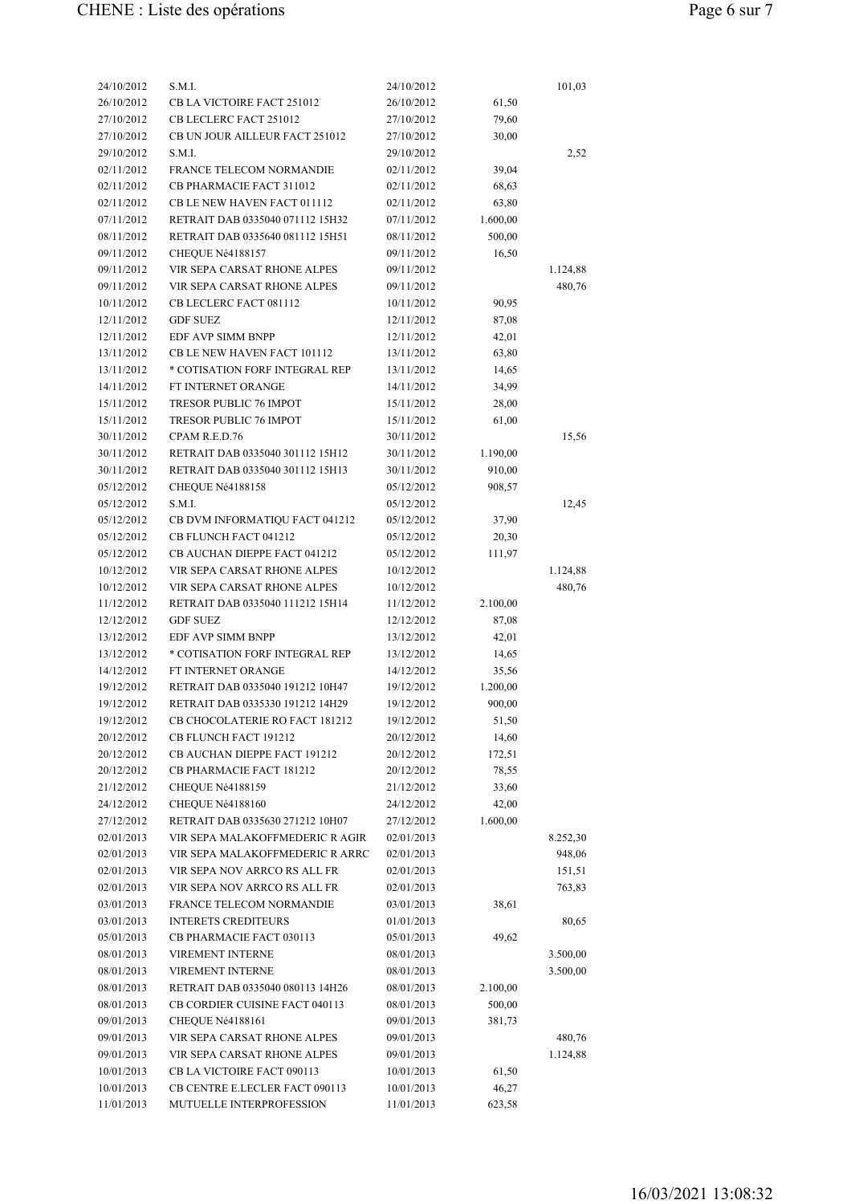| 24/10/2012 | S.M.I.                              | 24/10/2012 |          | 101,03   |
|------------|-------------------------------------|------------|----------|----------|
| 26/10/2012 | CB LA VICTOIRE FACT 251012          | 26/10/2012 | 61,50    |          |
| 27/10/2012 | CB LECLERC FACT 251012              | 27/10/2012 | 79,60    |          |
| 27/10/2012 | CB UN JOUR AILLEUR FACT 251012      | 27/10/2012 | 30,00    |          |
| 29/10/2012 | S.M.I.                              | 29/10/2012 |          | 2,52     |
| 02/11/2012 | FRANCE TELECOM NORMANDIE            | 02/11/2012 | 39,04    |          |
| 02/11/2012 | CB PHARMACIE FACT 311012            | 02/11/2012 | 68,63    |          |
| 02/11/2012 | CB LE NEW HAVEN FACT 011112         | 02/11/2012 | 63,80    |          |
| 07/11/2012 | RETRAIT DAB 0335040 071112 15H32    | 07/11/2012 | 1.600,00 |          |
| 08/11/2012 | RETRAIT DAB 0335640 081112 15H51    | 08/11/2012 | 500,00   |          |
| 09/11/2012 | CHEQUE Né4188157                    | 09/11/2012 | 16,50    |          |
| 09/11/2012 | VIR SEPA CARSAT RHONE ALPES         | 09/11/2012 |          | 1.124,88 |
| 09/11/2012 | VIR SEPA CARSAT RHONE ALPES         | 09/11/2012 |          | 480,76   |
| 10/11/2012 | CB LECLERC FACT 081112              | 10/11/2012 | 90,95    |          |
| 12/11/2012 | <b>GDF SUEZ</b>                     | 12/11/2012 | 87,08    |          |
| 12/11/2012 | EDF AVP SIMM BNPP                   | 12/11/2012 | 42,01    |          |
| 13/11/2012 | CB LE NEW HAVEN FACT 101112         | 13/11/2012 | 63,80    |          |
| 13/11/2012 | * COTISATION FORF INTEGRAL REP      | 13/11/2012 | 14,65    |          |
| 14/11/2012 | FT INTERNET ORANGE                  | 14/11/2012 | 34,99    |          |
| 15/11/2012 | TRESOR PUBLIC 76 IMPOT              | 15/11/2012 | 28,00    |          |
| 15/11/2012 | TRESOR PUBLIC 76 IMPOT              | 15/11/2012 | 61,00    |          |
| 30/11/2012 | CPAM R.E.D.76                       | 30/11/2012 |          | 15,56    |
| 30/11/2012 | RETRAIT DAB 0335040 301112 15H12    | 30/11/2012 | 1.190,00 |          |
| 30/11/2012 | RETRAIT DAB 0335040 301112 15H13    | 30/11/2012 | 910,00   |          |
| 05/12/2012 | CHEQUE Né4188158                    | 05/12/2012 | 908,57   |          |
| 05/12/2012 | S.M.I.                              | 05/12/2012 |          | 12,45    |
| 05/12/2012 | CB DVM INFORMATIQU FACT 041212      | 05/12/2012 | 37,90    |          |
| 05/12/2012 | CB FLUNCH FACT 041212               | 05/12/2012 | 20,30    |          |
| 05/12/2012 | <b>CB AUCHAN DIEPPE FACT 041212</b> | 05/12/2012 | 111,97   |          |
| 10/12/2012 | VIR SEPA CARSAT RHONE ALPES         | 10/12/2012 |          | 1.124,88 |
| 10/12/2012 | VIR SEPA CARSAT RHONE ALPES         | 10/12/2012 |          | 480,76   |
| 11/12/2012 | RETRAIT DAB 0335040 111212 15H14    | 11/12/2012 | 2.100,00 |          |
| 12/12/2012 | <b>GDF SUEZ</b>                     | 12/12/2012 | 87,08    |          |
| 13/12/2012 | <b>EDF AVP SIMM BNPP</b>            | 13/12/2012 | 42,01    |          |
| 13/12/2012 | * COTISATION FORF INTEGRAL REP      | 13/12/2012 | 14,65    |          |
| 14/12/2012 | FT INTERNET ORANGE                  | 14/12/2012 | 35,56    |          |
| 19/12/2012 | RETRAIT DAB 0335040 191212 10H47    | 19/12/2012 | 1.200,00 |          |
| 19/12/2012 | RETRAIT DAB 0335330 191212 14H29    | 19/12/2012 | 900,00   |          |
| 19/12/2012 | CB CHOCOLATERIE RO FACT 181212      | 19/12/2012 | 51,50    |          |
| 20/12/2012 | CB FLUNCH FACT 191212               | 20/12/2012 | 14,60    |          |
| 20/12/2012 | CB AUCHAN DIEPPE FACT 191212        | 20/12/2012 | 172,51   |          |
| 20/12/2012 | CB PHARMACIE FACT 181212            | 20/12/2012 | 78,55    |          |
| 21/12/2012 | CHEQUE Né4188159                    | 21/12/2012 | 33,60    |          |
| 24/12/2012 | CHEQUE Né4188160                    | 24/12/2012 | 42,00    |          |
| 27/12/2012 | RETRAIT DAB 0335630 271212 10H07    | 27/12/2012 | 1.600,00 |          |
| 02/01/2013 | VIR SEPA MALAKOFFMEDERIC R AGIR     | 02/01/2013 |          | 8.252,30 |
| 02/01/2013 | VIR SEPA MALAKOFFMEDERIC R ARRC     | 02/01/2013 |          | 948,06   |
| 02/01/2013 | VIR SEPA NOV ARRCO RS ALL FR        | 02/01/2013 |          | 151,51   |
| 02/01/2013 | VIR SEPA NOV ARRCO RS ALL FR        | 02/01/2013 |          | 763,83   |
| 03/01/2013 | FRANCE TELECOM NORMANDIE            | 03/01/2013 | 38,61    |          |
| 03/01/2013 | <b>INTERETS CREDITEURS</b>          | 01/01/2013 |          | 80,65    |
| 05/01/2013 | CB PHARMACIE FACT 030113            | 05/01/2013 | 49,62    |          |
| 08/01/2013 | VIREMENT INTERNE                    | 08/01/2013 |          | 3.500,00 |
| 08/01/2013 | VIREMENT INTERNE                    | 08/01/2013 |          | 3.500,00 |
| 08/01/2013 | RETRAIT DAB 0335040 080113 14H26    | 08/01/2013 | 2.100,00 |          |
| 08/01/2013 | CB CORDIER CUISINE FACT 040113      | 08/01/2013 | 500,00   |          |
| 09/01/2013 | CHEQUE Né4188161                    | 09/01/2013 | 381,73   |          |
| 09/01/2013 | VIR SEPA CARSAT RHONE ALPES         | 09/01/2013 |          | 480,76   |
| 09/01/2013 | VIR SEPA CARSAT RHONE ALPES         | 09/01/2013 |          | 1.124,88 |
| 10/01/2013 | CB LA VICTOIRE FACT 090113          | 10/01/2013 | 61,50    |          |
| 10/01/2013 | CB CENTRE E.LECLER FACT 090113      | 10/01/2013 | 46,27    |          |
| 11/01/2013 | MUTUELLE INTERPROFESSION            | 11/01/2013 | 623,58   |          |